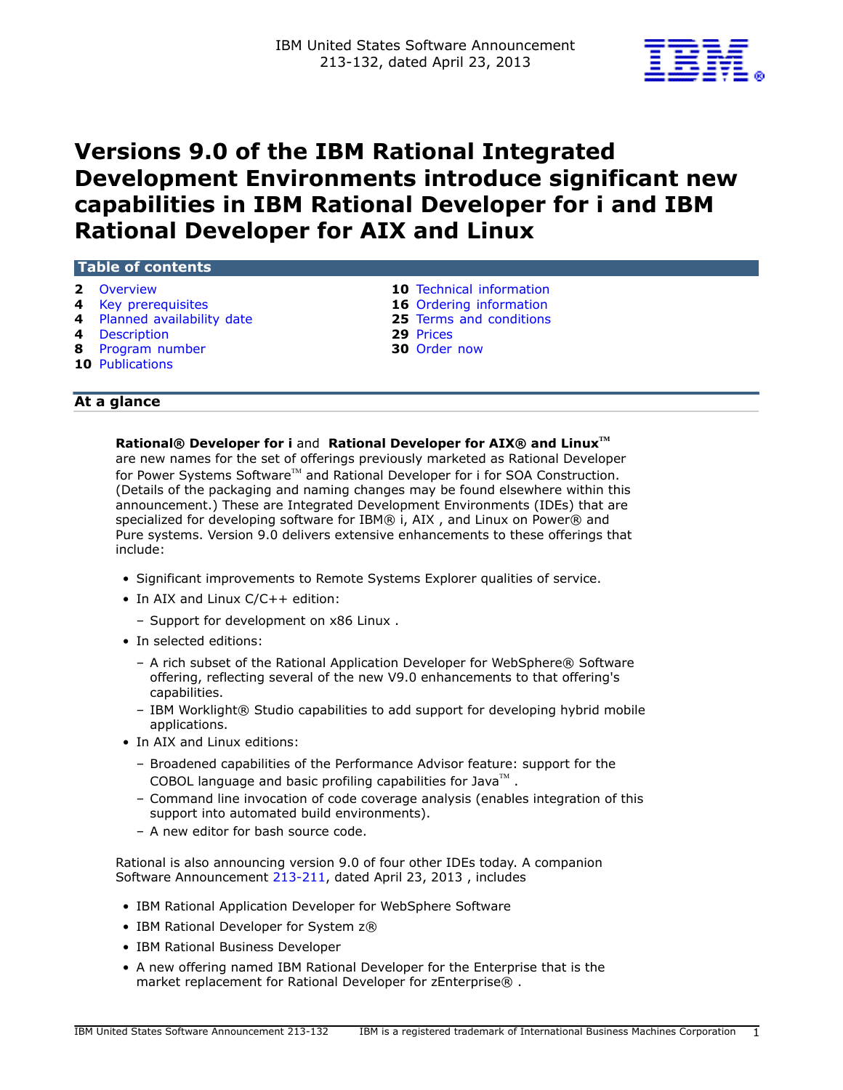

# **Versions 9.0 of the IBM Rational Integrated Development Environments introduce significant new capabilities in IBM Rational Developer for i and IBM Rational Developer for AIX and Linux**

## **Table of contents**

- 
- 
- **4** [Planned availability date](#page-3-1) **25** [Terms and conditions](#page-24-0)
- **4** [Description](#page-3-2) **29** [Prices](#page-28-0)
- **8** [Program number](#page-7-0) **30** [Order now](#page-29-0)
- **10** [Publications](#page-9-1)
- **2** [Overview](#page-1-0) **10** Technical information<br> **4** Key prerequisites **16** Ordering information **16** Ordering information
	-

## **At a glance**

## **Rational® Developer for i** and **Rational Developer for AIX® and LinuxTM**

are new names for the set of offerings previously marketed as Rational Developer for Power Systems Software™ and Rational Developer for i for SOA Construction. (Details of the packaging and naming changes may be found elsewhere within this announcement.) These are Integrated Development Environments (IDEs) that are specialized for developing software for IBM® i, AIX, and Linux on Power® and Pure systems. Version 9.0 delivers extensive enhancements to these offerings that include:

- Significant improvements to Remote Systems Explorer qualities of service.
- In AIX and Linux C/C++ edition:
	- Support for development on x86 Linux .
- In selected editions:
	- A rich subset of the Rational Application Developer for WebSphere® Software offering, reflecting several of the new V9.0 enhancements to that offering's capabilities.
	- IBM Worklight® Studio capabilities to add support for developing hybrid mobile applications.
- In AIX and Linux editions:
	- Broadened capabilities of the Performance Advisor feature: support for the COBOL language and basic profiling capabilities for Java $\mathbb{I}^{\mathbb{M}}$  .
	- Command line invocation of code coverage analysis (enables integration of this support into automated build environments).
	- A new editor for bash source code.

Rational is also announcing version 9.0 of four other IDEs today. A companion Software Announcement [213-211,](http://www.ibm.com/common/ssi/cgi-bin/ssialias?infotype=an&subtype=ca&appname=gpateam&supplier=897&letternum=ENUS213-211) dated April 23, 2013 , includes

- IBM Rational Application Developer for WebSphere Software
- IBM Rational Developer for System z®
- IBM Rational Business Developer
- A new offering named IBM Rational Developer for the Enterprise that is the market replacement for Rational Developer for zEnterprise®.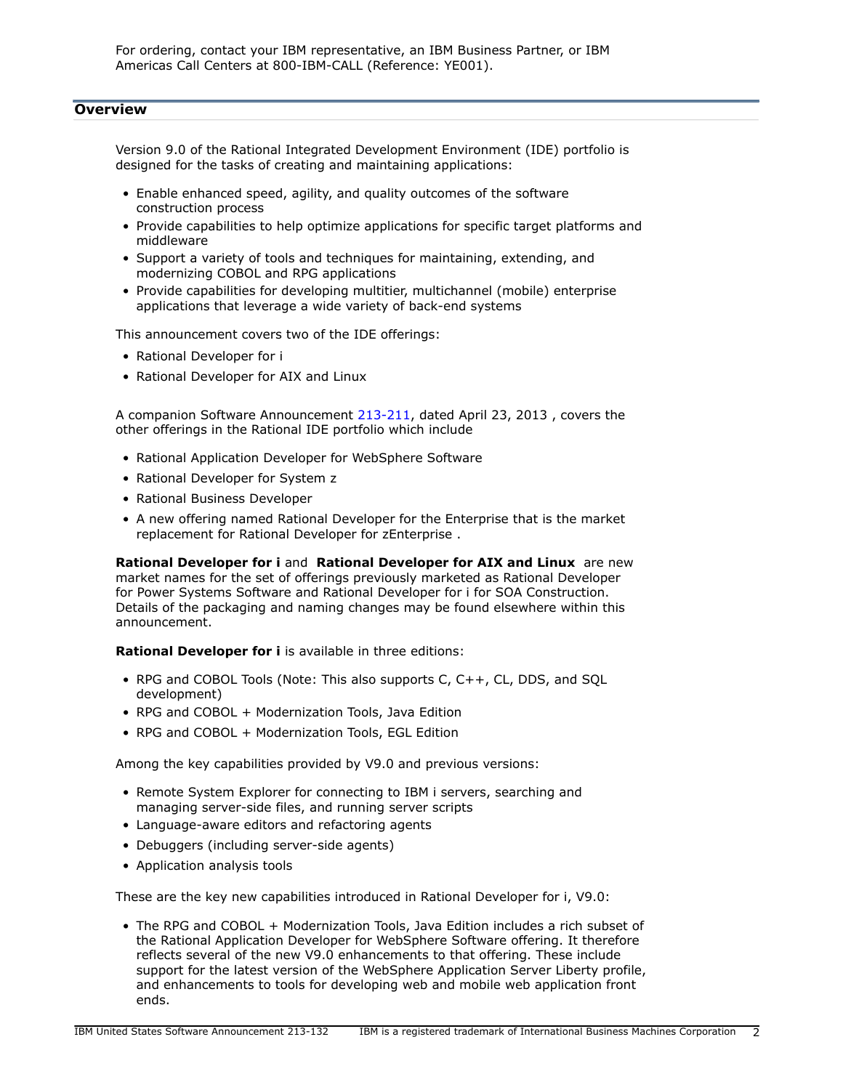For ordering, contact your IBM representative, an IBM Business Partner, or IBM Americas Call Centers at 800-IBM-CALL (Reference: YE001).

## <span id="page-1-0"></span>**Overview**

Version 9.0 of the Rational Integrated Development Environment (IDE) portfolio is designed for the tasks of creating and maintaining applications:

- Enable enhanced speed, agility, and quality outcomes of the software construction process
- Provide capabilities to help optimize applications for specific target platforms and middleware
- Support a variety of tools and techniques for maintaining, extending, and modernizing COBOL and RPG applications
- Provide capabilities for developing multitier, multichannel (mobile) enterprise applications that leverage a wide variety of back-end systems

This announcement covers two of the IDE offerings:

- Rational Developer for i
- Rational Developer for AIX and Linux

A companion Software Announcement [213-211](http://www.ibm.com/common/ssi/cgi-bin/ssialias?infotype=an&subtype=ca&appname=gpateam&supplier=897&letternum=ENUS213-211), dated April 23, 2013 , covers the other offerings in the Rational IDE portfolio which include

- Rational Application Developer for WebSphere Software
- Rational Developer for System z
- Rational Business Developer
- A new offering named Rational Developer for the Enterprise that is the market replacement for Rational Developer for zEnterprise .

**Rational Developer for i** and **Rational Developer for AIX and Linux** are new market names for the set of offerings previously marketed as Rational Developer for Power Systems Software and Rational Developer for i for SOA Construction. Details of the packaging and naming changes may be found elsewhere within this announcement.

**Rational Developer for i** is available in three editions:

- RPG and COBOL Tools (Note: This also supports C, C++, CL, DDS, and SQL development)
- RPG and COBOL + Modernization Tools, Java Edition
- RPG and COBOL + Modernization Tools, EGL Edition

Among the key capabilities provided by V9.0 and previous versions:

- Remote System Explorer for connecting to IBM i servers, searching and managing server-side files, and running server scripts
- Language-aware editors and refactoring agents
- Debuggers (including server-side agents)
- Application analysis tools

These are the key new capabilities introduced in Rational Developer for i, V9.0:

• The RPG and COBOL + Modernization Tools, Java Edition includes a rich subset of the Rational Application Developer for WebSphere Software offering. It therefore reflects several of the new V9.0 enhancements to that offering. These include support for the latest version of the WebSphere Application Server Liberty profile, and enhancements to tools for developing web and mobile web application front ends.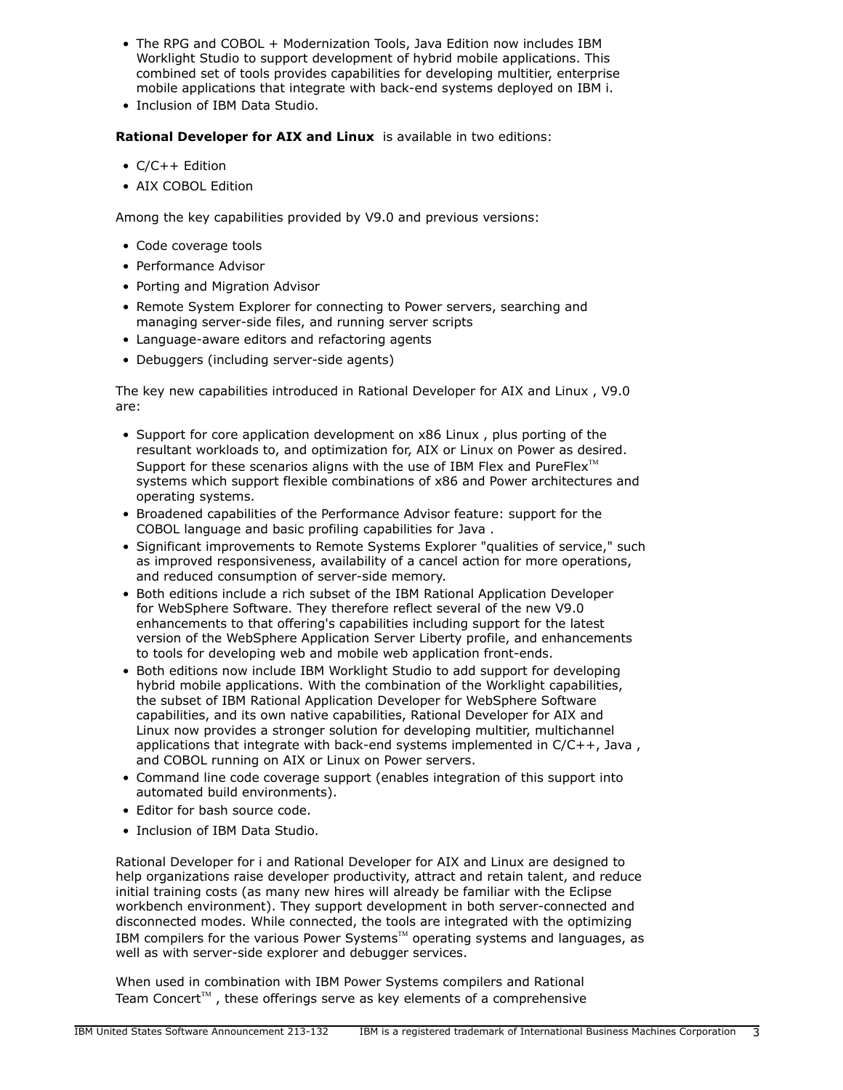- The RPG and COBOL + Modernization Tools, Java Edition now includes IBM Worklight Studio to support development of hybrid mobile applications. This combined set of tools provides capabilities for developing multitier, enterprise mobile applications that integrate with back-end systems deployed on IBM i.
- Inclusion of IBM Data Studio.

**Rational Developer for AIX and Linux** is available in two editions:

- C/C++ Edition
- AIX COBOL Edition

Among the key capabilities provided by V9.0 and previous versions:

- Code coverage tools
- Performance Advisor
- Porting and Migration Advisor
- Remote System Explorer for connecting to Power servers, searching and managing server-side files, and running server scripts
- Language-aware editors and refactoring agents
- Debuggers (including server-side agents)

The key new capabilities introduced in Rational Developer for AIX and Linux , V9.0 are:

- Support for core application development on x86 Linux , plus porting of the resultant workloads to, and optimization for, AIX or Linux on Power as desired. Support for these scenarios aligns with the use of IBM Flex and PureFlex<sup>TM</sup> systems which support flexible combinations of x86 and Power architectures and operating systems.
- Broadened capabilities of the Performance Advisor feature: support for the COBOL language and basic profiling capabilities for Java .
- Significant improvements to Remote Systems Explorer "qualities of service," such as improved responsiveness, availability of a cancel action for more operations, and reduced consumption of server-side memory.
- Both editions include a rich subset of the IBM Rational Application Developer for WebSphere Software. They therefore reflect several of the new V9.0 enhancements to that offering's capabilities including support for the latest version of the WebSphere Application Server Liberty profile, and enhancements to tools for developing web and mobile web application front-ends.
- Both editions now include IBM Worklight Studio to add support for developing hybrid mobile applications. With the combination of the Worklight capabilities, the subset of IBM Rational Application Developer for WebSphere Software capabilities, and its own native capabilities, Rational Developer for AIX and Linux now provides a stronger solution for developing multitier, multichannel applications that integrate with back-end systems implemented in C/C++, Java , and COBOL running on AIX or Linux on Power servers.
- Command line code coverage support (enables integration of this support into automated build environments).
- Editor for bash source code.
- Inclusion of IBM Data Studio.

Rational Developer for i and Rational Developer for AIX and Linux are designed to help organizations raise developer productivity, attract and retain talent, and reduce initial training costs (as many new hires will already be familiar with the Eclipse workbench environment). They support development in both server-connected and disconnected modes. While connected, the tools are integrated with the optimizing IBM compilers for the various Power Systems $M$  operating systems and languages, as well as with server-side explorer and debugger services.

When used in combination with IBM Power Systems compilers and Rational Team Concert<sup> $TM$ </sup>, these offerings serve as key elements of a comprehensive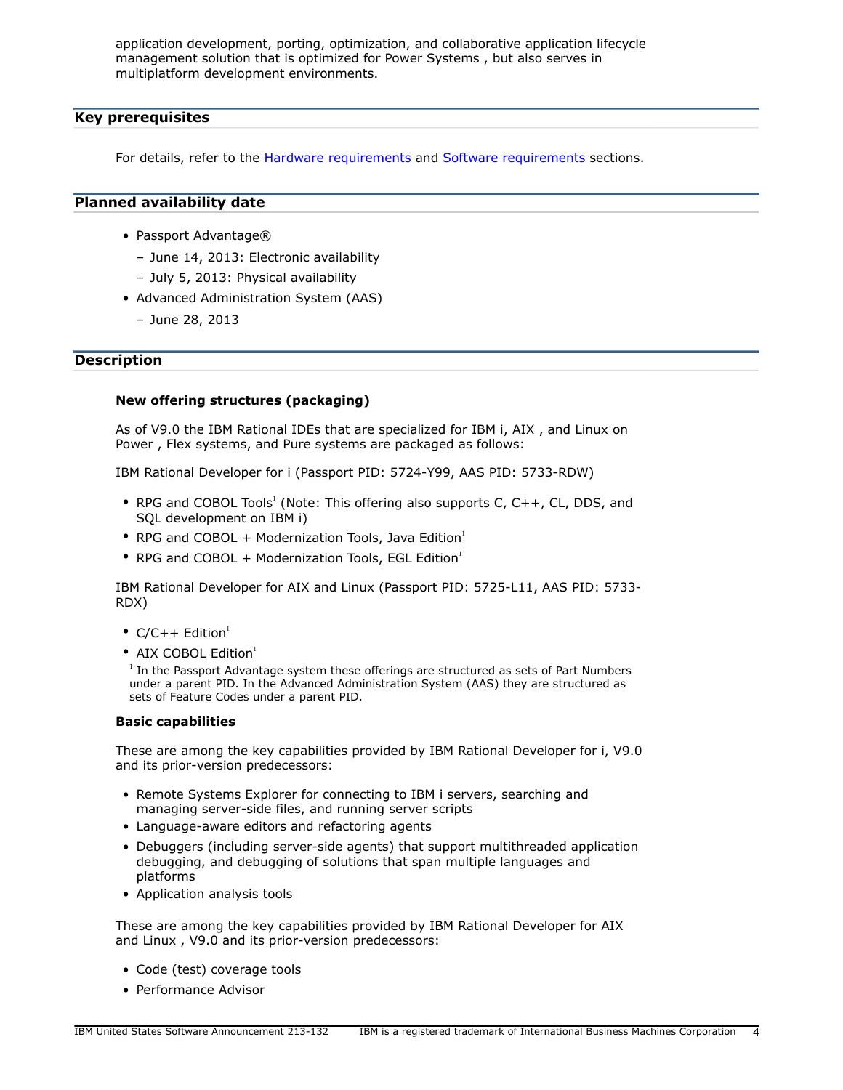application development, porting, optimization, and collaborative application lifecycle management solution that is optimized for Power Systems , but also serves in multiplatform development environments.

## <span id="page-3-0"></span>**Key prerequisites**

For details, refer to the [Hardware requirements](#page-9-2) and [Software requirements](#page-10-0) sections.

## <span id="page-3-1"></span>**Planned availability date**

- Passport Advantage®
	- June 14, 2013: Electronic availability
	- July 5, 2013: Physical availability
- Advanced Administration System (AAS)
	- June 28, 2013

#### <span id="page-3-2"></span>**Description**

#### **New offering structures (packaging)**

As of V9.0 the IBM Rational IDEs that are specialized for IBM i, AIX , and Linux on Power , Flex systems, and Pure systems are packaged as follows:

IBM Rational Developer for i (Passport PID: 5724-Y99, AAS PID: 5733-RDW)

- RPG and COBOL Tools<sup>1</sup> (Note: This offering also supports C, C++, CL, DDS, and SQL development on IBM i)
- RPG and COBOL + Modernization Tools, Java Edition $1$
- RPG and COBOL + Modernization Tools, EGL Edition $^1$

IBM Rational Developer for AIX and Linux (Passport PID: 5725-L11, AAS PID: 5733- RDX)

- $C/C++$  Edition<sup>1</sup>
- AIX COBOL Edition $1$

<sup>1</sup> In the Passport Advantage system these offerings are structured as sets of Part Numbers under a parent PID. In the Advanced Administration System (AAS) they are structured as sets of Feature Codes under a parent PID.

#### **Basic capabilities**

These are among the key capabilities provided by IBM Rational Developer for i, V9.0 and its prior-version predecessors:

- Remote Systems Explorer for connecting to IBM i servers, searching and managing server-side files, and running server scripts
- Language-aware editors and refactoring agents
- Debuggers (including server-side agents) that support multithreaded application debugging, and debugging of solutions that span multiple languages and platforms
- Application analysis tools

These are among the key capabilities provided by IBM Rational Developer for AIX and Linux , V9.0 and its prior-version predecessors:

- Code (test) coverage tools
- Performance Advisor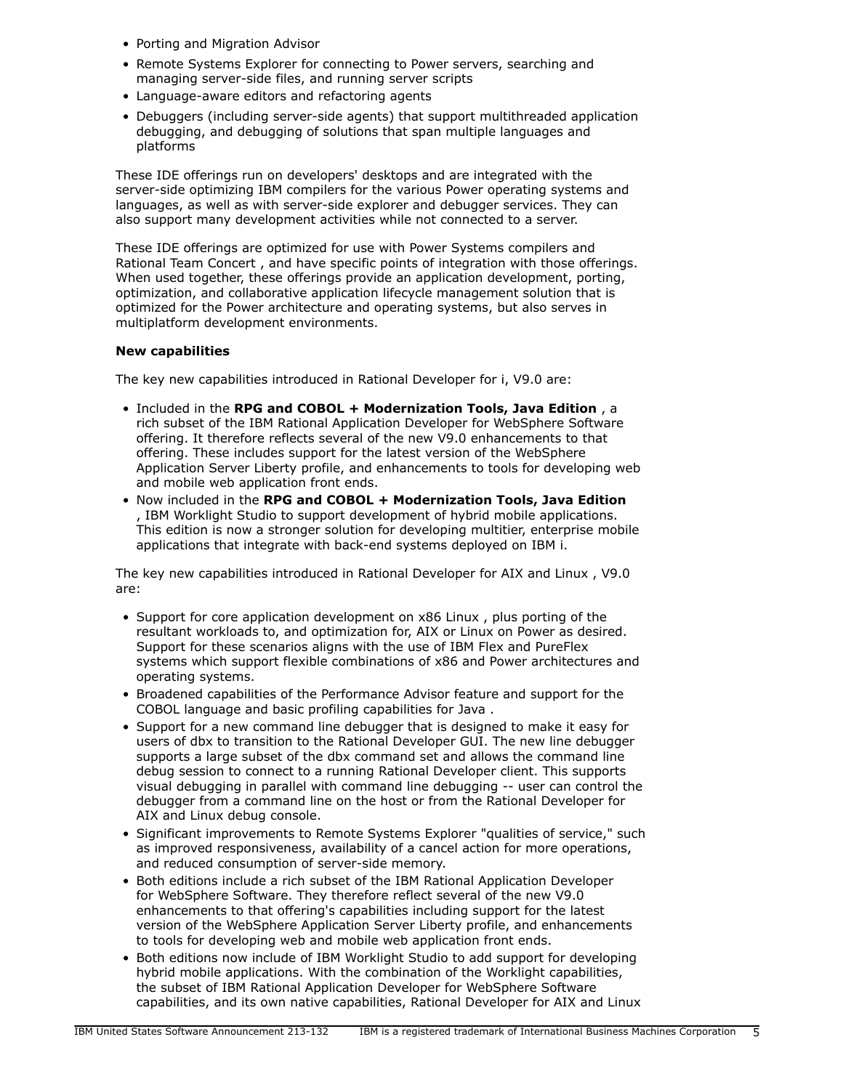- Porting and Migration Advisor
- Remote Systems Explorer for connecting to Power servers, searching and managing server-side files, and running server scripts
- Language-aware editors and refactoring agents
- Debuggers (including server-side agents) that support multithreaded application debugging, and debugging of solutions that span multiple languages and platforms

These IDE offerings run on developers' desktops and are integrated with the server-side optimizing IBM compilers for the various Power operating systems and languages, as well as with server-side explorer and debugger services. They can also support many development activities while not connected to a server.

These IDE offerings are optimized for use with Power Systems compilers and Rational Team Concert , and have specific points of integration with those offerings. When used together, these offerings provide an application development, porting, optimization, and collaborative application lifecycle management solution that is optimized for the Power architecture and operating systems, but also serves in multiplatform development environments.

## **New capabilities**

The key new capabilities introduced in Rational Developer for i, V9.0 are:

- Included in the **RPG and COBOL + Modernization Tools, Java Edition** , a rich subset of the IBM Rational Application Developer for WebSphere Software offering. It therefore reflects several of the new V9.0 enhancements to that offering. These includes support for the latest version of the WebSphere Application Server Liberty profile, and enhancements to tools for developing web and mobile web application front ends.
- Now included in the **RPG and COBOL + Modernization Tools, Java Edition** , IBM Worklight Studio to support development of hybrid mobile applications. This edition is now a stronger solution for developing multitier, enterprise mobile applications that integrate with back-end systems deployed on IBM i.

The key new capabilities introduced in Rational Developer for AIX and Linux , V9.0 are:

- Support for core application development on x86 Linux , plus porting of the resultant workloads to, and optimization for, AIX or Linux on Power as desired. Support for these scenarios aligns with the use of IBM Flex and PureFlex systems which support flexible combinations of x86 and Power architectures and operating systems.
- Broadened capabilities of the Performance Advisor feature and support for the COBOL language and basic profiling capabilities for Java .
- Support for a new command line debugger that is designed to make it easy for users of dbx to transition to the Rational Developer GUI. The new line debugger supports a large subset of the dbx command set and allows the command line debug session to connect to a running Rational Developer client. This supports visual debugging in parallel with command line debugging -- user can control the debugger from a command line on the host or from the Rational Developer for AIX and Linux debug console.
- Significant improvements to Remote Systems Explorer "qualities of service," such as improved responsiveness, availability of a cancel action for more operations, and reduced consumption of server-side memory.
- Both editions include a rich subset of the IBM Rational Application Developer for WebSphere Software. They therefore reflect several of the new V9.0 enhancements to that offering's capabilities including support for the latest version of the WebSphere Application Server Liberty profile, and enhancements to tools for developing web and mobile web application front ends.
- Both editions now include of IBM Worklight Studio to add support for developing hybrid mobile applications. With the combination of the Worklight capabilities, the subset of IBM Rational Application Developer for WebSphere Software capabilities, and its own native capabilities, Rational Developer for AIX and Linux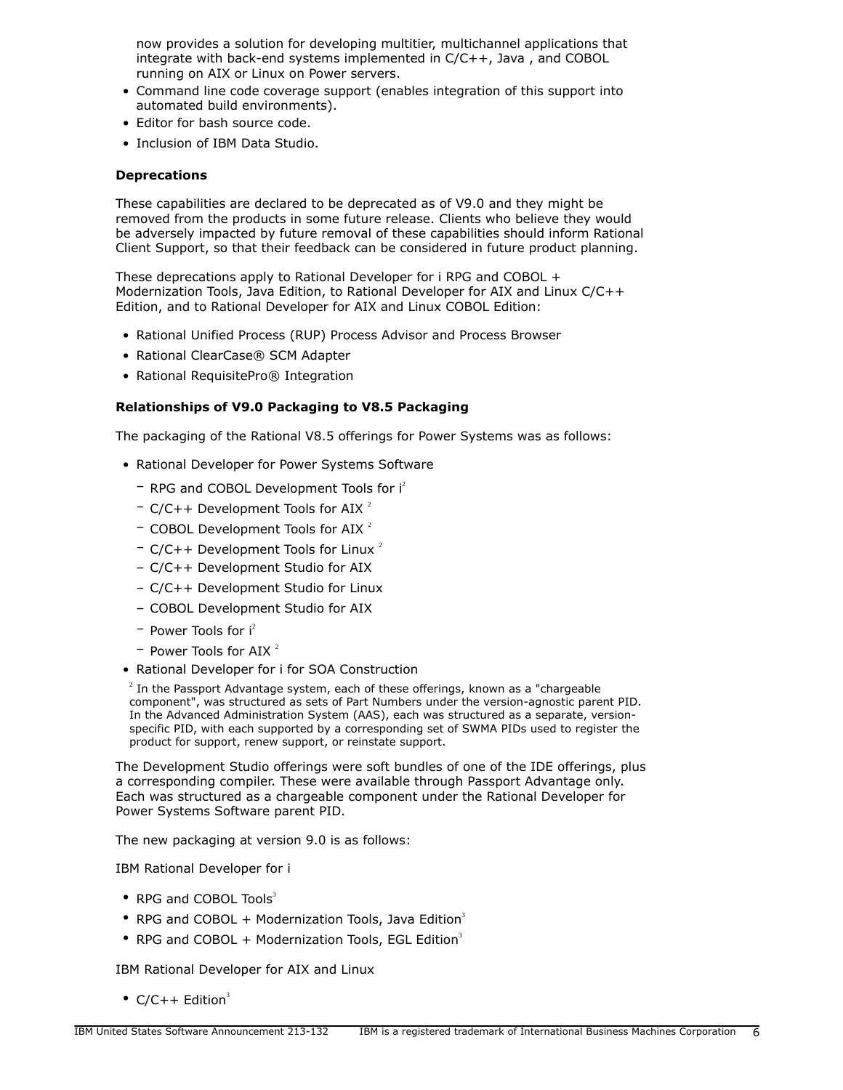now provides a solution for developing multitier, multichannel applications that integrate with back-end systems implemented in C/C++, Java , and COBOL running on AIX or Linux on Power servers.

- Command line code coverage support (enables integration of this support into automated build environments).
- Editor for bash source code.
- Inclusion of IBM Data Studio.

## **Deprecations**

These capabilities are declared to be deprecated as of V9.0 and they might be removed from the products in some future release. Clients who believe they would be adversely impacted by future removal of these capabilities should inform Rational Client Support, so that their feedback can be considered in future product planning.

These deprecations apply to Rational Developer for i RPG and COBOL + Modernization Tools, Java Edition, to Rational Developer for AIX and Linux C/C++ Edition, and to Rational Developer for AIX and Linux COBOL Edition:

- Rational Unified Process (RUP) Process Advisor and Process Browser
- Rational ClearCase® SCM Adapter
- Rational RequisitePro® Integration

## **Relationships of V9.0 Packaging to V8.5 Packaging**

The packaging of the Rational V8.5 offerings for Power Systems was as follows:

- Rational Developer for Power Systems Software
	- $-$  RPG and COBOL Development Tools for  $i^2$
	- $-$  C/C++ Development Tools for AIX<sup>2</sup>
	- $-$  COBOL Development Tools for AIX $^2$
	- $C/C++$  Development Tools for Linux  $2$
	- C/C++ Development Studio for AIX
	- C/C++ Development Studio for Linux
	- COBOL Development Studio for AIX
	- $-$  Power Tools for  $i^2$
	- $-$  Power Tools for AIX $^2$
- Rational Developer for i for SOA Construction

 $^{2}$  In the Passport Advantage system, each of these offerings, known as a "chargeable component", was structured as sets of Part Numbers under the version-agnostic parent PID. In the Advanced Administration System (AAS), each was structured as a separate, versionspecific PID, with each supported by a corresponding set of SWMA PIDs used to register the product for support, renew support, or reinstate support.

The Development Studio offerings were soft bundles of one of the IDE offerings, plus a corresponding compiler. These were available through Passport Advantage only. Each was structured as a chargeable component under the Rational Developer for Power Systems Software parent PID.

The new packaging at version 9.0 is as follows:

IBM Rational Developer for i

- RPG and COBOL Tools $3$
- RPG and COBOL + Modernization Tools, Java Edition<sup>3</sup>
- RPG and COBOL + Modernization Tools, EGL Edition $3$

IBM Rational Developer for AIX and Linux

•  $C/C++$  Edition<sup>3</sup>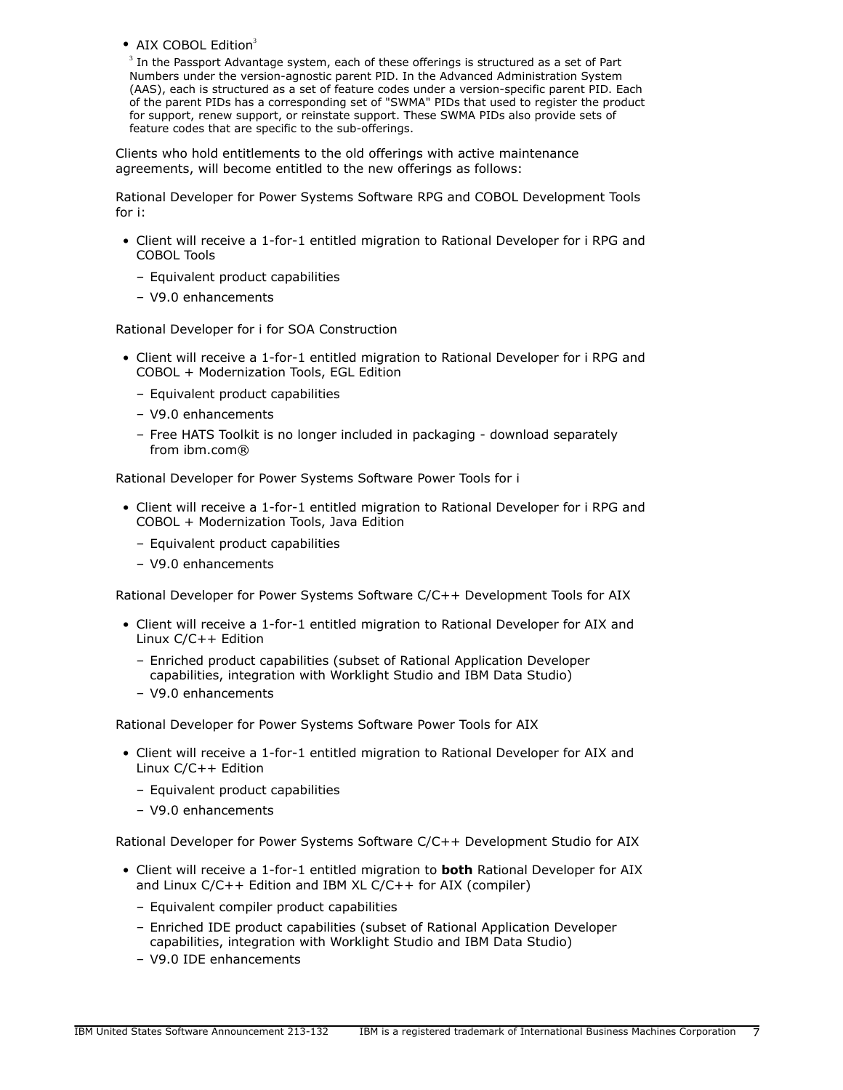• AIX COBOL Edition $3$ 

 $3$  In the Passport Advantage system, each of these offerings is structured as a set of Part Numbers under the version-agnostic parent PID. In the Advanced Administration System (AAS), each is structured as a set of feature codes under a version-specific parent PID. Each of the parent PIDs has a corresponding set of "SWMA" PIDs that used to register the product for support, renew support, or reinstate support. These SWMA PIDs also provide sets of feature codes that are specific to the sub-offerings.

Clients who hold entitlements to the old offerings with active maintenance agreements, will become entitled to the new offerings as follows:

Rational Developer for Power Systems Software RPG and COBOL Development Tools for i:

- Client will receive a 1-for-1 entitled migration to Rational Developer for i RPG and COBOL Tools
	- Equivalent product capabilities
	- V9.0 enhancements

Rational Developer for i for SOA Construction

- Client will receive a 1-for-1 entitled migration to Rational Developer for i RPG and COBOL + Modernization Tools, EGL Edition
	- Equivalent product capabilities
	- V9.0 enhancements
	- Free HATS Toolkit is no longer included in packaging download separately from ibm.com®

Rational Developer for Power Systems Software Power Tools for i

- Client will receive a 1-for-1 entitled migration to Rational Developer for i RPG and COBOL + Modernization Tools, Java Edition
	- Equivalent product capabilities
	- V9.0 enhancements

Rational Developer for Power Systems Software C/C++ Development Tools for AIX

- Client will receive a 1-for-1 entitled migration to Rational Developer for AIX and Linux C/C++ Edition
	- Enriched product capabilities (subset of Rational Application Developer capabilities, integration with Worklight Studio and IBM Data Studio)
	- V9.0 enhancements

Rational Developer for Power Systems Software Power Tools for AIX

- Client will receive a 1-for-1 entitled migration to Rational Developer for AIX and Linux C/C++ Edition
	- Equivalent product capabilities
	- V9.0 enhancements

Rational Developer for Power Systems Software C/C++ Development Studio for AIX

- Client will receive a 1-for-1 entitled migration to **both** Rational Developer for AIX and Linux C/C++ Edition and IBM XL C/C++ for AIX (compiler)
	- Equivalent compiler product capabilities
	- Enriched IDE product capabilities (subset of Rational Application Developer capabilities, integration with Worklight Studio and IBM Data Studio)
	- V9.0 IDE enhancements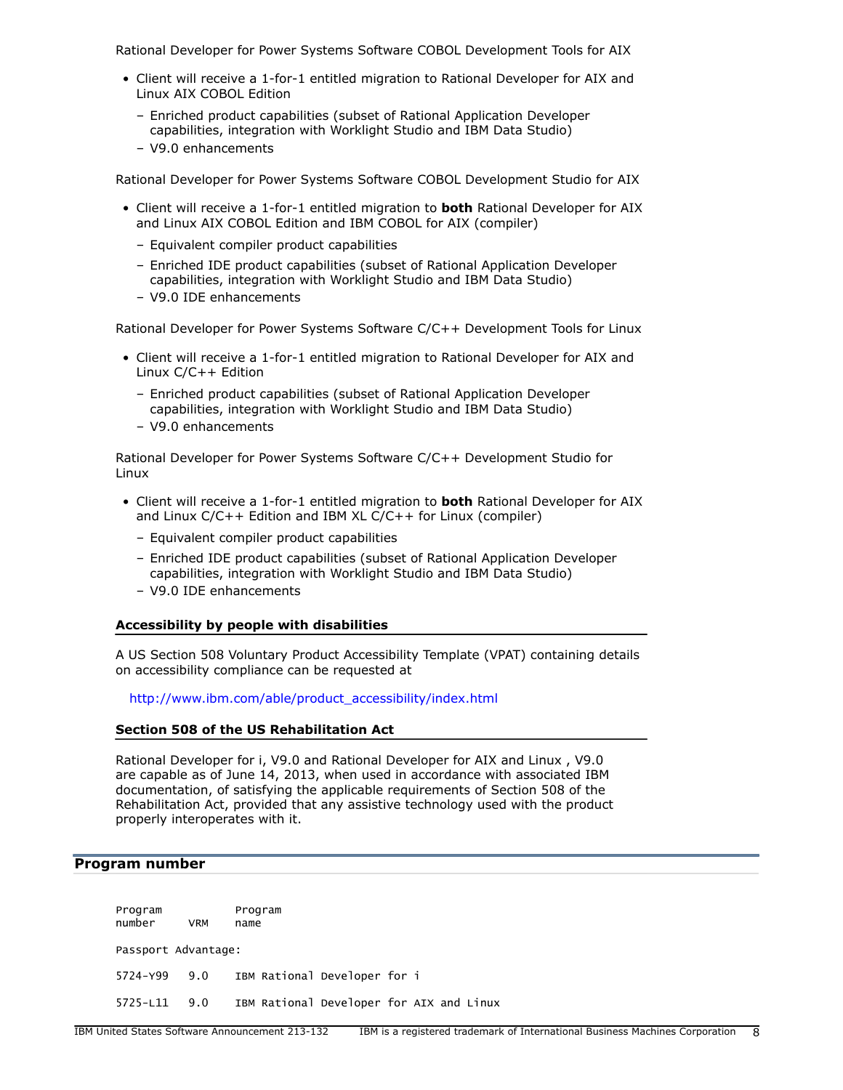Rational Developer for Power Systems Software COBOL Development Tools for AIX

- Client will receive a 1-for-1 entitled migration to Rational Developer for AIX and Linux AIX COBOL Edition
	- Enriched product capabilities (subset of Rational Application Developer capabilities, integration with Worklight Studio and IBM Data Studio)
	- V9.0 enhancements

Rational Developer for Power Systems Software COBOL Development Studio for AIX

- Client will receive a 1-for-1 entitled migration to **both** Rational Developer for AIX and Linux AIX COBOL Edition and IBM COBOL for AIX (compiler)
	- Equivalent compiler product capabilities
	- Enriched IDE product capabilities (subset of Rational Application Developer capabilities, integration with Worklight Studio and IBM Data Studio)
	- V9.0 IDE enhancements

Rational Developer for Power Systems Software C/C++ Development Tools for Linux

- Client will receive a 1-for-1 entitled migration to Rational Developer for AIX and Linux C/C++ Edition
	- Enriched product capabilities (subset of Rational Application Developer capabilities, integration with Worklight Studio and IBM Data Studio)
	- V9.0 enhancements

Rational Developer for Power Systems Software C/C++ Development Studio for Linux

- Client will receive a 1-for-1 entitled migration to **both** Rational Developer for AIX and Linux C/C++ Edition and IBM XL C/C++ for Linux (compiler)
	- Equivalent compiler product capabilities
	- Enriched IDE product capabilities (subset of Rational Application Developer capabilities, integration with Worklight Studio and IBM Data Studio)
	- V9.0 IDE enhancements

#### **Accessibility by people with disabilities**

A US Section 508 Voluntary Product Accessibility Template (VPAT) containing details on accessibility compliance can be requested at

[http://www.ibm.com/able/product\\_accessibility/index.html](http://www.ibm.com/able/product_accessibility/index.html)

#### **Section 508 of the US Rehabilitation Act**

Rational Developer for i, V9.0 and Rational Developer for AIX and Linux , V9.0 are capable as of June 14, 2013, when used in accordance with associated IBM documentation, of satisfying the applicable requirements of Section 508 of the Rehabilitation Act, provided that any assistive technology used with the product properly interoperates with it.

#### <span id="page-7-0"></span>**Program number**

| Program<br>number   | <b>VRM</b> | Program<br>name                          |
|---------------------|------------|------------------------------------------|
| Passport Advantage: |            |                                          |
| 5724-Y99            | 9.0        | IBM Rational Developer for i             |
| $5725 - L11$        | 9.0        | IBM Rational Developer for AIX and Linux |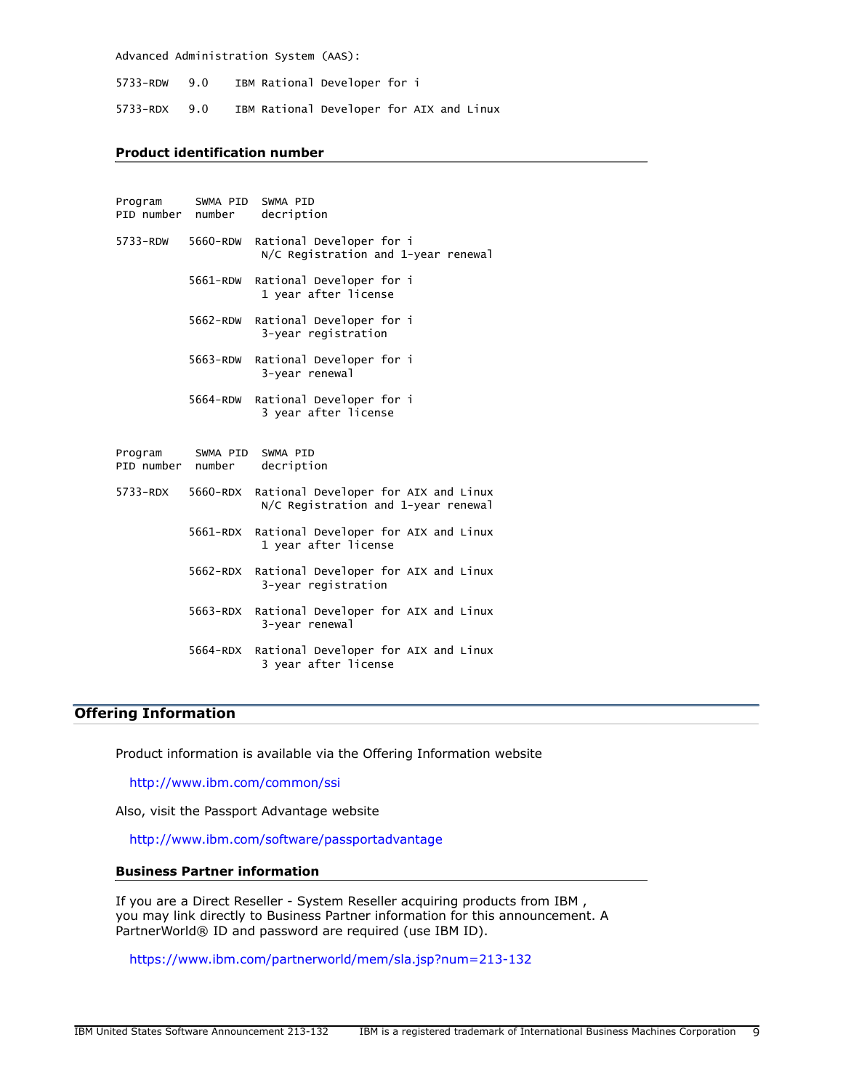Advanced Administration System (AAS):

5733-RDW 9.0 IBM Rational Developer for i

5733-RDX 9.0 IBM Rational Developer for AIX and Linux

#### **Product identification number**

| Program<br>PID number number | SWMA PID | SWMA PID<br>decription                                                      |
|------------------------------|----------|-----------------------------------------------------------------------------|
| 5733-RDW                     | 5660-RDW | Rational Developer for i<br>N/C Registration and 1-year renewal             |
|                              | 5661-RDW | Rational Developer for i<br>1 year after license                            |
|                              | 5662-RDW | Rational Developer for i<br>3-year registration                             |
|                              | 5663-RDW | Rational Developer for i<br>3-year renewal                                  |
|                              | 5664-RDW | Rational Developer for i<br>3 year after license                            |
|                              |          |                                                                             |
| Program<br>PID number number | SWMA PID | SWMA PID<br>decription                                                      |
| 5733-RDX                     | 5660-RDX | Rational Developer for AIX and Linux<br>N/C Registration and 1-year renewal |
|                              | 5661-RDX | Rational Developer for AIX and Linux<br>1 year after license                |
|                              | 5662-RDX | Rational Developer for AIX and Linux<br>3-year registration                 |
|                              | 5663-RDX | Rational Developer for AIX and Linux<br>3-year renewal                      |

## **Offering Information**

Product information is available via the Offering Information website

<http://www.ibm.com/common/ssi>

Also, visit the Passport Advantage website

<http://www.ibm.com/software/passportadvantage>

#### **Business Partner information**

If you are a Direct Reseller - System Reseller acquiring products from IBM , you may link directly to Business Partner information for this announcement. A PartnerWorld® ID and password are required (use IBM ID).

<https://www.ibm.com/partnerworld/mem/sla.jsp?num=213-132>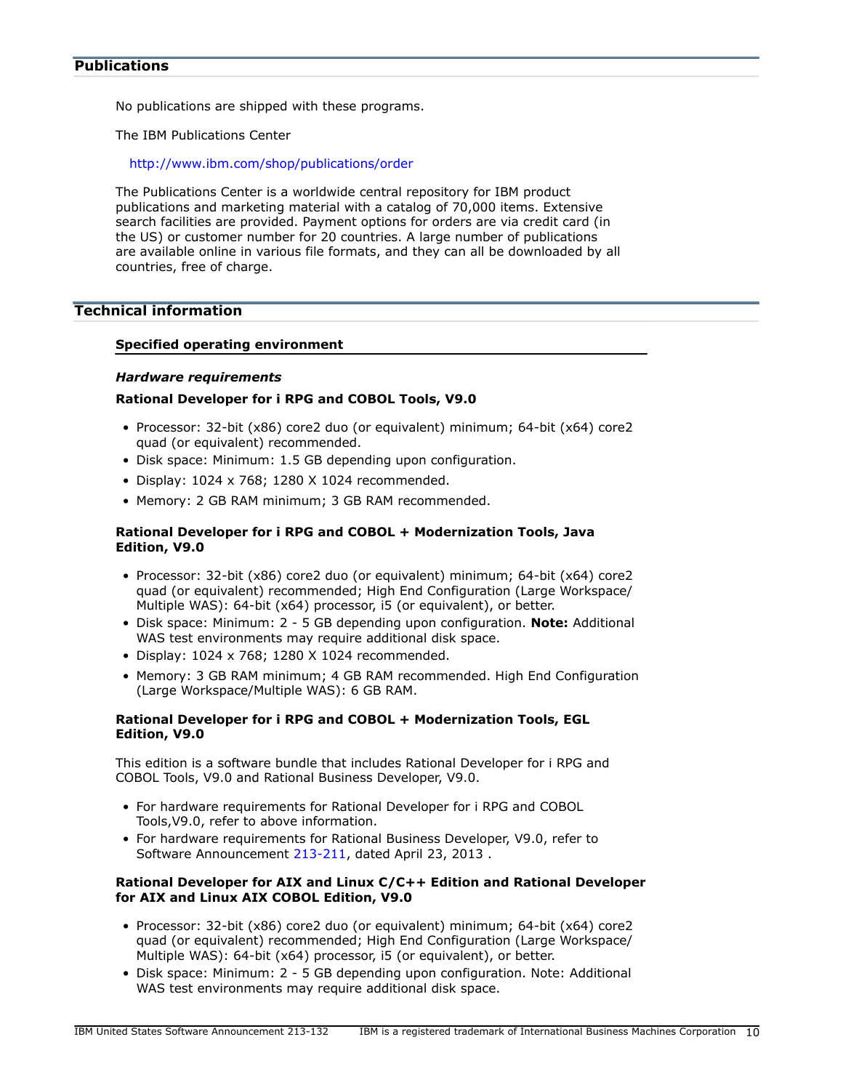## <span id="page-9-1"></span>**Publications**

No publications are shipped with these programs.

The IBM Publications Center

<http://www.ibm.com/shop/publications/order>

The Publications Center is a worldwide central repository for IBM product publications and marketing material with a catalog of 70,000 items. Extensive search facilities are provided. Payment options for orders are via credit card (in the US) or customer number for 20 countries. A large number of publications are available online in various file formats, and they can all be downloaded by all countries, free of charge.

## <span id="page-9-0"></span>**Technical information**

#### **Specified operating environment**

#### <span id="page-9-2"></span>*Hardware requirements*

#### **Rational Developer for i RPG and COBOL Tools, V9.0**

- Processor: 32-bit (x86) core2 duo (or equivalent) minimum; 64-bit (x64) core2 quad (or equivalent) recommended.
- Disk space: Minimum: 1.5 GB depending upon configuration.
- Display: 1024 x 768; 1280 X 1024 recommended.
- Memory: 2 GB RAM minimum; 3 GB RAM recommended.

#### **Rational Developer for i RPG and COBOL + Modernization Tools, Java Edition, V9.0**

- Processor: 32-bit (x86) core2 duo (or equivalent) minimum; 64-bit (x64) core2 quad (or equivalent) recommended; High End Configuration (Large Workspace/ Multiple WAS): 64-bit (x64) processor, i5 (or equivalent), or better.
- Disk space: Minimum: 2 5 GB depending upon configuration. **Note:** Additional WAS test environments may require additional disk space.
- Display: 1024 x 768; 1280 X 1024 recommended.
- Memory: 3 GB RAM minimum; 4 GB RAM recommended. High End Configuration (Large Workspace/Multiple WAS): 6 GB RAM.

## **Rational Developer for i RPG and COBOL + Modernization Tools, EGL Edition, V9.0**

This edition is a software bundle that includes Rational Developer for i RPG and COBOL Tools, V9.0 and Rational Business Developer, V9.0.

- For hardware requirements for Rational Developer for i RPG and COBOL Tools,V9.0, refer to above information.
- For hardware requirements for Rational Business Developer, V9.0, refer to Software Announcement [213-211,](http://www.ibm.com/common/ssi/cgi-bin/ssialias?infotype=an&subtype=ca&appname=gpateam&supplier=897&letternum=ENUS213-211) dated April 23, 2013 .

## **Rational Developer for AIX and Linux C/C++ Edition and Rational Developer for AIX and Linux AIX COBOL Edition, V9.0**

- Processor: 32-bit (x86) core2 duo (or equivalent) minimum; 64-bit (x64) core2 quad (or equivalent) recommended; High End Configuration (Large Workspace/ Multiple WAS): 64-bit (x64) processor, i5 (or equivalent), or better.
- Disk space: Minimum: 2 5 GB depending upon configuration. Note: Additional WAS test environments may require additional disk space.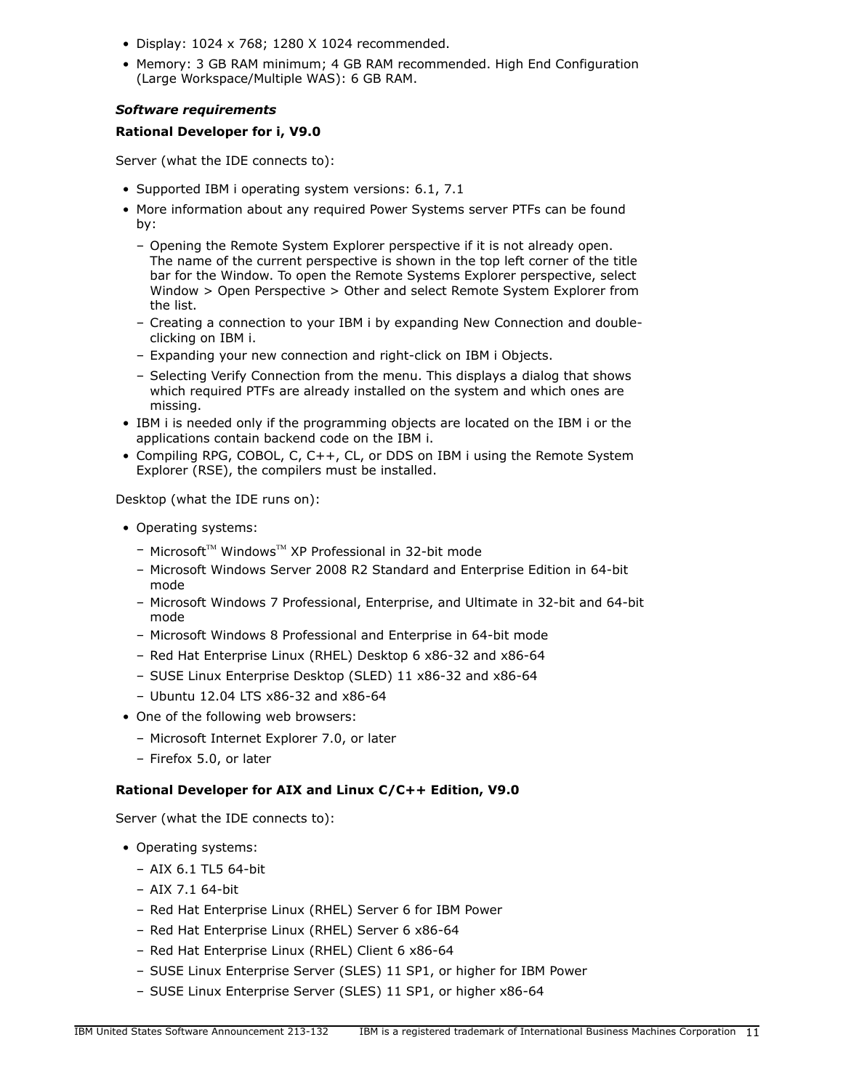- Display: 1024 x 768; 1280 X 1024 recommended.
- Memory: 3 GB RAM minimum; 4 GB RAM recommended. High End Configuration (Large Workspace/Multiple WAS): 6 GB RAM.

## <span id="page-10-0"></span>*Software requirements*

## **Rational Developer for i, V9.0**

Server (what the IDE connects to):

- Supported IBM i operating system versions: 6.1, 7.1
- More information about any required Power Systems server PTFs can be found by:
	- Opening the Remote System Explorer perspective if it is not already open. The name of the current perspective is shown in the top left corner of the title bar for the Window. To open the Remote Systems Explorer perspective, select Window > Open Perspective > Other and select Remote System Explorer from the list.
	- Creating a connection to your IBM i by expanding New Connection and doubleclicking on IBM i.
	- Expanding your new connection and right-click on IBM i Objects.
	- Selecting Verify Connection from the menu. This displays a dialog that shows which required PTFs are already installed on the system and which ones are missing.
- IBM i is needed only if the programming objects are located on the IBM i or the applications contain backend code on the IBM i.
- Compiling RPG, COBOL, C, C++, CL, or DDS on IBM i using the Remote System Explorer (RSE), the compilers must be installed.

Desktop (what the IDE runs on):

- Operating systems:
	- $-$  Microsoft<sup>™</sup> Windows<sup>™</sup> XP Professional in 32-bit mode
	- Microsoft Windows Server 2008 R2 Standard and Enterprise Edition in 64-bit mode
	- Microsoft Windows 7 Professional, Enterprise, and Ultimate in 32-bit and 64-bit mode
	- Microsoft Windows 8 Professional and Enterprise in 64-bit mode
	- Red Hat Enterprise Linux (RHEL) Desktop 6 x86-32 and x86-64
	- SUSE Linux Enterprise Desktop (SLED) 11 x86-32 and x86-64
	- Ubuntu 12.04 LTS x86-32 and x86-64
- One of the following web browsers:
	- Microsoft Internet Explorer 7.0, or later
	- Firefox 5.0, or later

## **Rational Developer for AIX and Linux C/C++ Edition, V9.0**

Server (what the IDE connects to):

- Operating systems:
	- AIX 6.1 TL5 64-bit
	- AIX 7.1 64-bit
	- Red Hat Enterprise Linux (RHEL) Server 6 for IBM Power
	- Red Hat Enterprise Linux (RHEL) Server 6 x86-64
	- Red Hat Enterprise Linux (RHEL) Client 6 x86-64
	- SUSE Linux Enterprise Server (SLES) 11 SP1, or higher for IBM Power
	- SUSE Linux Enterprise Server (SLES) 11 SP1, or higher x86-64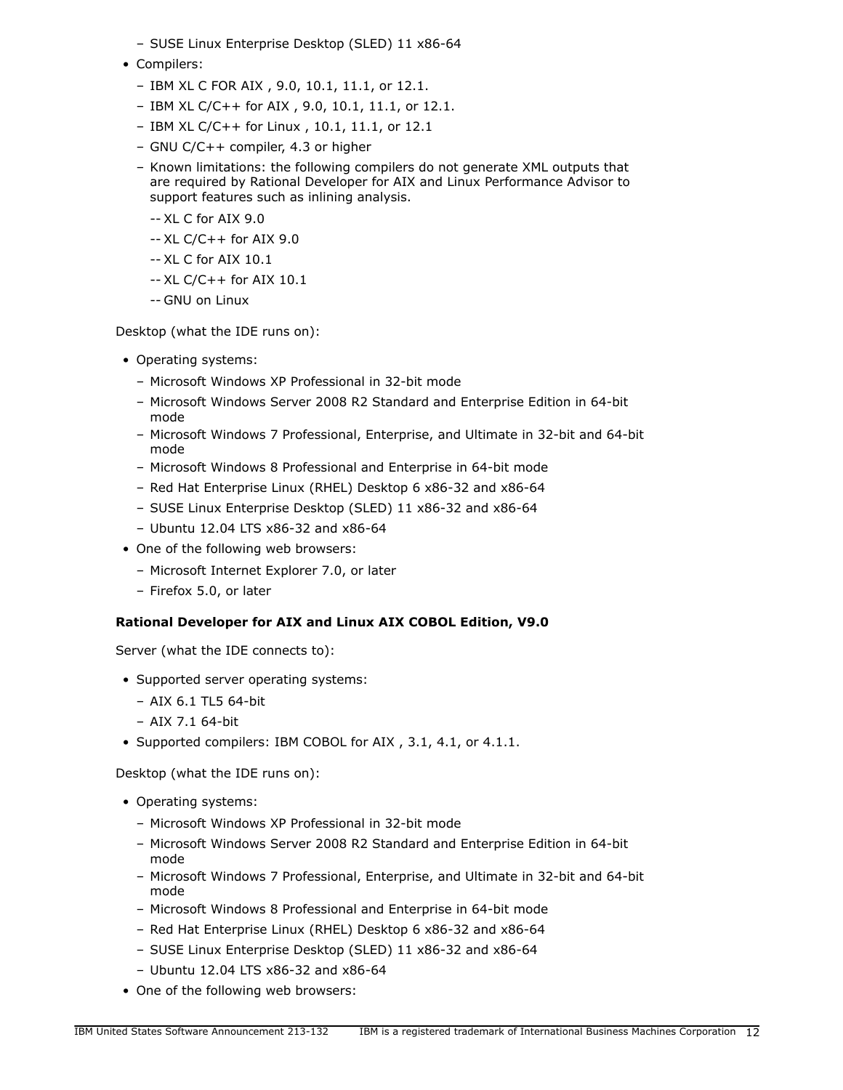- SUSE Linux Enterprise Desktop (SLED) 11 x86-64
- Compilers:
	- IBM XL C FOR AIX , 9.0, 10.1, 11.1, or 12.1.
	- IBM XL C/C++ for AIX , 9.0, 10.1, 11.1, or 12.1.
	- IBM XL C/C++ for Linux , 10.1, 11.1, or 12.1
	- GNU C/C++ compiler, 4.3 or higher
	- Known limitations: the following compilers do not generate XML outputs that are required by Rational Developer for AIX and Linux Performance Advisor to support features such as inlining analysis.
		- -- XL C for AIX 9.0
		- -- XL C/C++ for AIX 9.0
		- -- XL C for AIX 10.1
		- -- XL C/C++ for AIX 10.1
		- -- GNU on Linux

Desktop (what the IDE runs on):

- Operating systems:
	- Microsoft Windows XP Professional in 32-bit mode
	- Microsoft Windows Server 2008 R2 Standard and Enterprise Edition in 64-bit mode
	- Microsoft Windows 7 Professional, Enterprise, and Ultimate in 32-bit and 64-bit mode
	- Microsoft Windows 8 Professional and Enterprise in 64-bit mode
	- Red Hat Enterprise Linux (RHEL) Desktop 6 x86-32 and x86-64
	- SUSE Linux Enterprise Desktop (SLED) 11 x86-32 and x86-64
	- Ubuntu 12.04 LTS x86-32 and x86-64
- One of the following web browsers:
	- Microsoft Internet Explorer 7.0, or later
	- Firefox 5.0, or later

## **Rational Developer for AIX and Linux AIX COBOL Edition, V9.0**

Server (what the IDE connects to):

- Supported server operating systems:
	- AIX 6.1 TL5 64-bit
	- AIX 7.1 64-bit
- Supported compilers: IBM COBOL for AIX , 3.1, 4.1, or 4.1.1.

Desktop (what the IDE runs on):

- Operating systems:
	- Microsoft Windows XP Professional in 32-bit mode
	- Microsoft Windows Server 2008 R2 Standard and Enterprise Edition in 64-bit mode
	- Microsoft Windows 7 Professional, Enterprise, and Ultimate in 32-bit and 64-bit mode
	- Microsoft Windows 8 Professional and Enterprise in 64-bit mode
	- Red Hat Enterprise Linux (RHEL) Desktop 6 x86-32 and x86-64
	- SUSE Linux Enterprise Desktop (SLED) 11 x86-32 and x86-64
	- Ubuntu 12.04 LTS x86-32 and x86-64
- One of the following web browsers: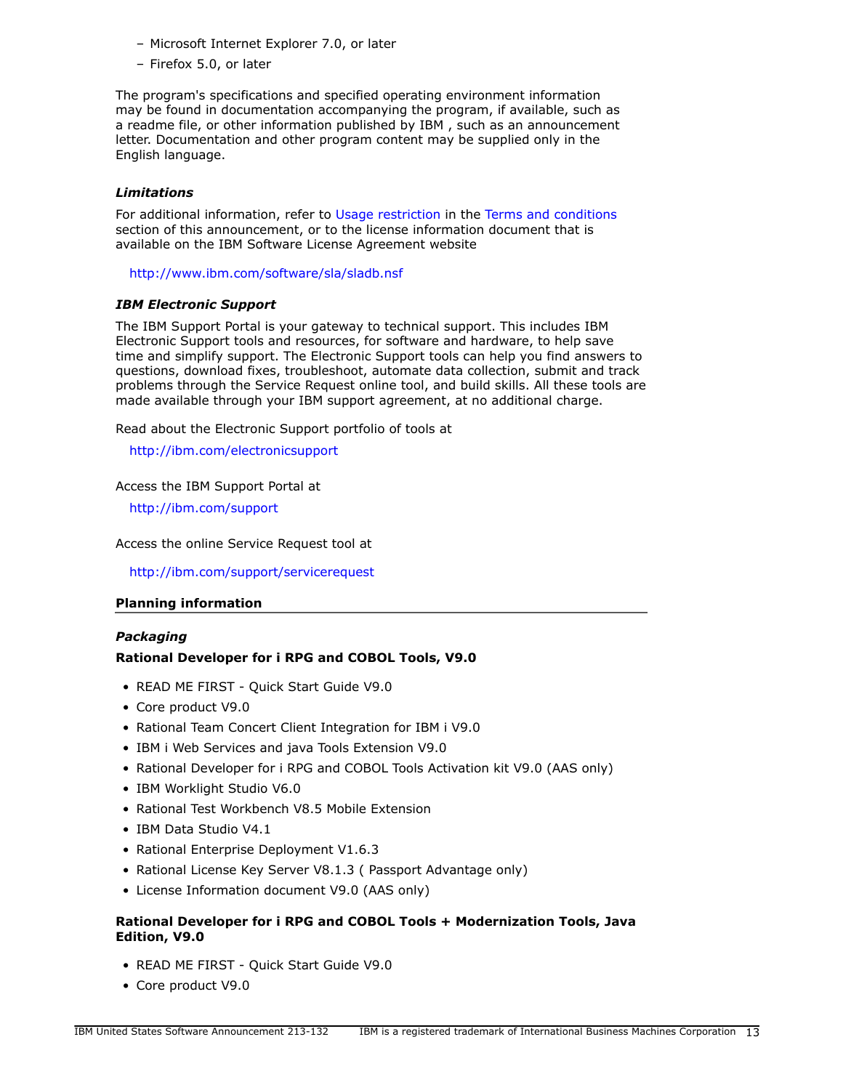- Microsoft Internet Explorer 7.0, or later
- Firefox 5.0, or later

The program's specifications and specified operating environment information may be found in documentation accompanying the program, if available, such as a readme file, or other information published by IBM , such as an announcement letter. Documentation and other program content may be supplied only in the English language.

## *Limitations*

For additional information, refer to [Usage restriction](#page-26-0) in the [Terms and conditions](#page-24-0) section of this announcement, or to the license information document that is available on the IBM Software License Agreement website

<http://www.ibm.com/software/sla/sladb.nsf>

## *IBM Electronic Support*

The IBM Support Portal is your gateway to technical support. This includes IBM Electronic Support tools and resources, for software and hardware, to help save time and simplify support. The Electronic Support tools can help you find answers to questions, download fixes, troubleshoot, automate data collection, submit and track problems through the Service Request online tool, and build skills. All these tools are made available through your IBM support agreement, at no additional charge.

Read about the Electronic Support portfolio of tools at

<http://ibm.com/electronicsupport>

#### Access the IBM Support Portal at

<http://ibm.com/support>

Access the online Service Request tool at

<http://ibm.com/support/servicerequest>

#### **Planning information**

#### *Packaging*

## **Rational Developer for i RPG and COBOL Tools, V9.0**

- READ ME FIRST Quick Start Guide V9.0
- Core product V9.0
- Rational Team Concert Client Integration for IBM i V9.0
- IBM i Web Services and java Tools Extension V9.0
- Rational Developer for i RPG and COBOL Tools Activation kit V9.0 (AAS only)
- IBM Worklight Studio V6.0
- Rational Test Workbench V8.5 Mobile Extension
- IBM Data Studio V4.1
- Rational Enterprise Deployment V1.6.3
- Rational License Key Server V8.1.3 ( Passport Advantage only)
- License Information document V9.0 (AAS only)

## **Rational Developer for i RPG and COBOL Tools + Modernization Tools, Java Edition, V9.0**

- READ ME FIRST Quick Start Guide V9.0
- Core product V9.0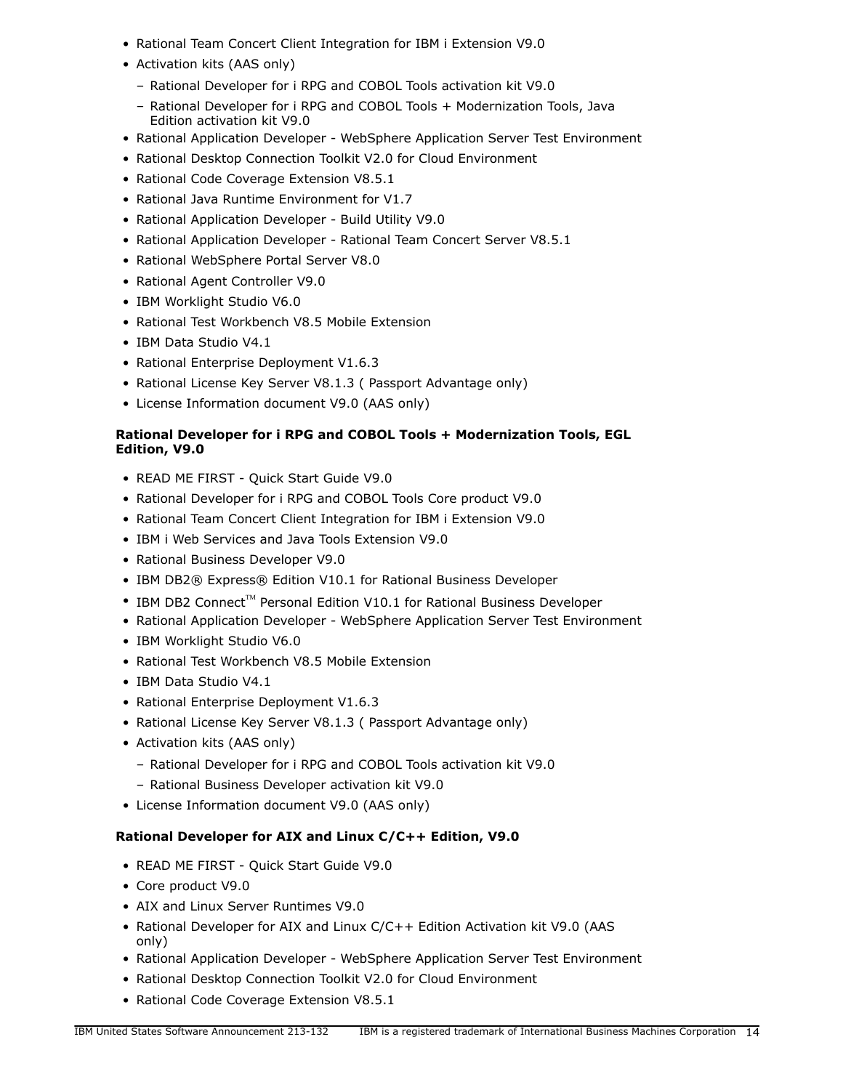- Rational Team Concert Client Integration for IBM i Extension V9.0
- Activation kits (AAS only)
	- Rational Developer for i RPG and COBOL Tools activation kit V9.0
	- Rational Developer for i RPG and COBOL Tools + Modernization Tools, Java Edition activation kit V9.0
- Rational Application Developer WebSphere Application Server Test Environment
- Rational Desktop Connection Toolkit V2.0 for Cloud Environment
- Rational Code Coverage Extension V8.5.1
- Rational Java Runtime Environment for V1.7
- Rational Application Developer Build Utility V9.0
- Rational Application Developer Rational Team Concert Server V8.5.1
- Rational WebSphere Portal Server V8.0
- Rational Agent Controller V9.0
- IBM Worklight Studio V6.0
- Rational Test Workbench V8.5 Mobile Extension
- IBM Data Studio V4.1
- Rational Enterprise Deployment V1.6.3
- Rational License Key Server V8.1.3 ( Passport Advantage only)
- License Information document V9.0 (AAS only)

## **Rational Developer for i RPG and COBOL Tools + Modernization Tools, EGL Edition, V9.0**

- READ ME FIRST Quick Start Guide V9.0
- Rational Developer for i RPG and COBOL Tools Core product V9.0
- Rational Team Concert Client Integration for IBM i Extension V9.0
- IBM i Web Services and Java Tools Extension V9.0
- Rational Business Developer V9.0
- IBM DB2® Express® Edition V10.1 for Rational Business Developer
- IBM DB2 Connect<sup>TM</sup> Personal Edition V10.1 for Rational Business Developer
- Rational Application Developer WebSphere Application Server Test Environment
- IBM Worklight Studio V6.0
- Rational Test Workbench V8.5 Mobile Extension
- IBM Data Studio V4.1
- Rational Enterprise Deployment V1.6.3
- Rational License Key Server V8.1.3 ( Passport Advantage only)
- Activation kits (AAS only)
	- Rational Developer for i RPG and COBOL Tools activation kit V9.0
	- Rational Business Developer activation kit V9.0
- License Information document V9.0 (AAS only)

## **Rational Developer for AIX and Linux C/C++ Edition, V9.0**

- READ ME FIRST Quick Start Guide V9.0
- Core product V9.0
- AIX and Linux Server Runtimes V9.0
- Rational Developer for AIX and Linux C/C++ Edition Activation kit V9.0 (AAS only)
- Rational Application Developer WebSphere Application Server Test Environment
- Rational Desktop Connection Toolkit V2.0 for Cloud Environment
- Rational Code Coverage Extension V8.5.1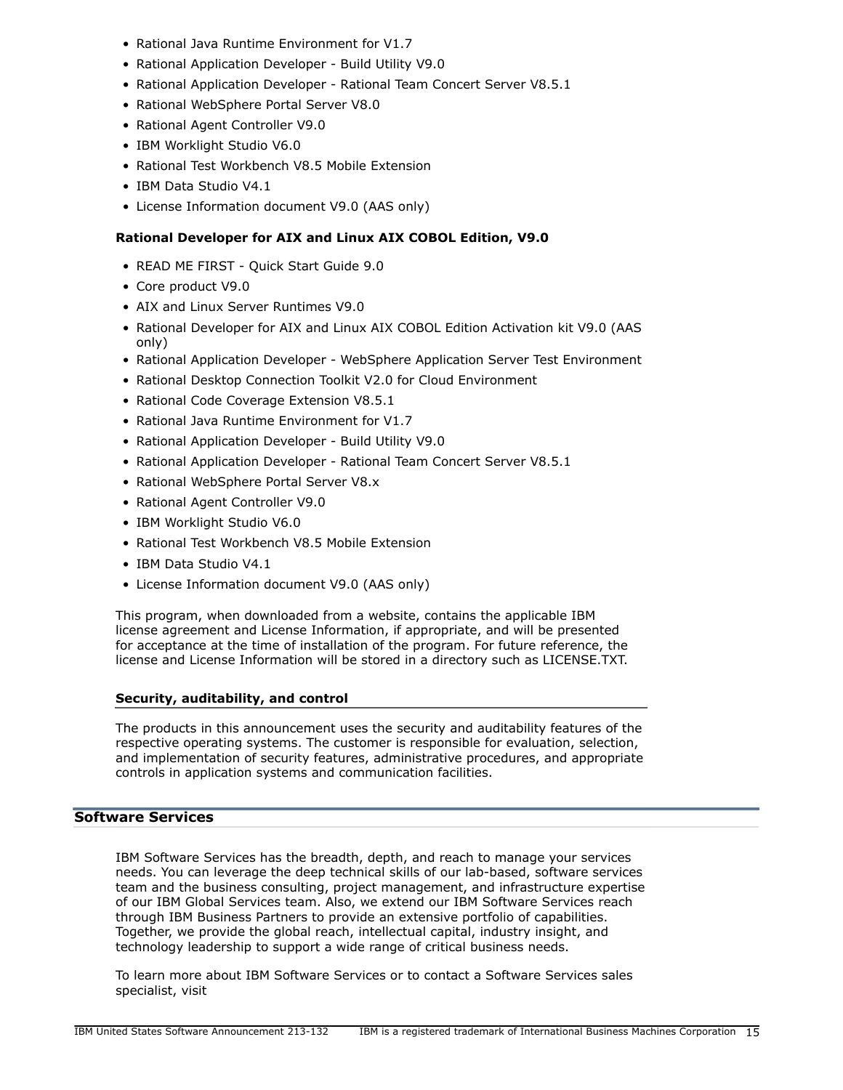- Rational Java Runtime Environment for V1.7
- Rational Application Developer Build Utility V9.0
- Rational Application Developer Rational Team Concert Server V8.5.1
- Rational WebSphere Portal Server V8.0
- Rational Agent Controller V9.0
- IBM Worklight Studio V6.0
- Rational Test Workbench V8.5 Mobile Extension
- IBM Data Studio V4.1
- License Information document V9.0 (AAS only)

## **Rational Developer for AIX and Linux AIX COBOL Edition, V9.0**

- READ ME FIRST Quick Start Guide 9.0
- Core product V9.0
- AIX and Linux Server Runtimes V9.0
- Rational Developer for AIX and Linux AIX COBOL Edition Activation kit V9.0 (AAS only)
- Rational Application Developer WebSphere Application Server Test Environment
- Rational Desktop Connection Toolkit V2.0 for Cloud Environment
- Rational Code Coverage Extension V8.5.1
- Rational Java Runtime Environment for V1.7
- Rational Application Developer Build Utility V9.0
- Rational Application Developer Rational Team Concert Server V8.5.1
- Rational WebSphere Portal Server V8.x
- Rational Agent Controller V9.0
- IBM Worklight Studio V6.0
- Rational Test Workbench V8.5 Mobile Extension
- IBM Data Studio V4.1
- License Information document V9.0 (AAS only)

This program, when downloaded from a website, contains the applicable IBM license agreement and License Information, if appropriate, and will be presented for acceptance at the time of installation of the program. For future reference, the license and License Information will be stored in a directory such as LICENSE.TXT.

## **Security, auditability, and control**

The products in this announcement uses the security and auditability features of the respective operating systems. The customer is responsible for evaluation, selection, and implementation of security features, administrative procedures, and appropriate controls in application systems and communication facilities.

## **Software Services**

IBM Software Services has the breadth, depth, and reach to manage your services needs. You can leverage the deep technical skills of our lab-based, software services team and the business consulting, project management, and infrastructure expertise of our IBM Global Services team. Also, we extend our IBM Software Services reach through IBM Business Partners to provide an extensive portfolio of capabilities. Together, we provide the global reach, intellectual capital, industry insight, and technology leadership to support a wide range of critical business needs.

To learn more about IBM Software Services or to contact a Software Services sales specialist, visit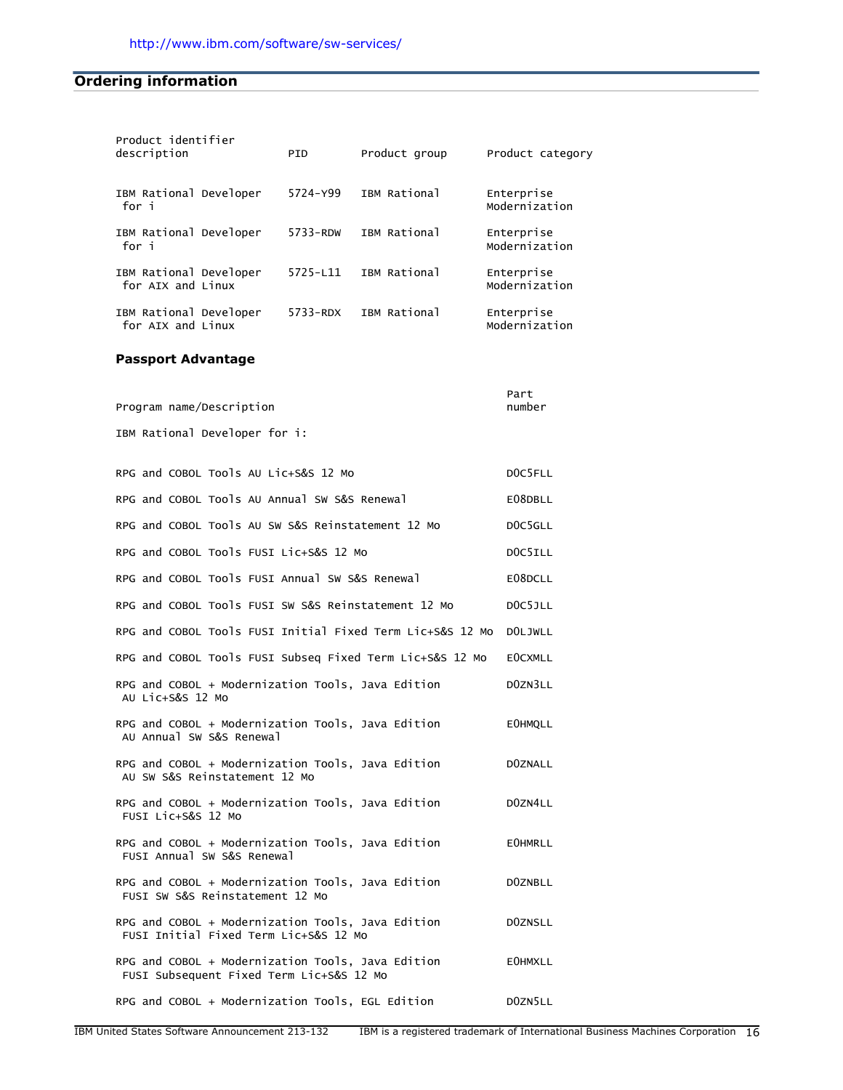## <span id="page-15-0"></span>**Ordering information**

| Product identifier<br>description           |                                                                                               | PID      | Product group                                             | Product category            |  |
|---------------------------------------------|-----------------------------------------------------------------------------------------------|----------|-----------------------------------------------------------|-----------------------------|--|
|                                             |                                                                                               |          |                                                           |                             |  |
| IBM Rational Developer<br>for i             |                                                                                               | 5724–Y99 | IBM Rational                                              | Enterprise<br>Modernization |  |
| IBM Rational Developer<br>for i             |                                                                                               | 5733-RDW | IBM Rational                                              | Enterprise<br>Modernization |  |
| IBM Rational Developer<br>for AIX and Linux |                                                                                               | 5725-L11 | IBM Rational                                              | Enterprise<br>Modernization |  |
| IBM Rational Developer<br>for AIX and Linux |                                                                                               | 5733-RDX | IBM Rational                                              | Enterprise<br>Modernization |  |
| <b>Passport Advantage</b>                   |                                                                                               |          |                                                           |                             |  |
|                                             |                                                                                               |          |                                                           | Part                        |  |
| Program name/Description                    |                                                                                               |          |                                                           | number                      |  |
|                                             | IBM Rational Developer for i:                                                                 |          |                                                           |                             |  |
|                                             | RPG and COBOL Tools AU Lic+S&S 12 Mo                                                          |          |                                                           | DOC5FLL                     |  |
|                                             | RPG and COBOL Tools AU Annual SW S&S Renewal                                                  |          |                                                           | E08DBLL                     |  |
|                                             | RPG and COBOL Tools AU SW S&S Reinstatement 12 Mo                                             |          |                                                           | DOC5GLL                     |  |
|                                             | RPG and COBOL Tools FUSI Lic+S&S 12 Mo                                                        |          |                                                           | DOC5ILL                     |  |
|                                             | RPG and COBOL Tools FUSI Annual SW S&S Renewal                                                |          |                                                           | E08DCLL                     |  |
|                                             | RPG and COBOL Tools FUSI SW S&S Reinstatement 12 Mo                                           |          |                                                           | DOC5JLL                     |  |
|                                             |                                                                                               |          | RPG and COBOL Tools FUSI Initial Fixed Term Lic+S&S 12 Mo | <b>DOLJWLL</b>              |  |
|                                             |                                                                                               |          | RPG and COBOL Tools FUSI Subseq Fixed Term Lic+S&S 12 Mo  | <b>EOCXMLL</b>              |  |
| AU Lic+S&S 12 Mo                            | RPG and COBOL + Modernization Tools, Java Edition                                             |          |                                                           | DOZN3LL                     |  |
|                                             | RPG and COBOL + Modernization Tools, Java Edition<br>AU Annual SW S&S Renewal                 |          |                                                           | <b>EOHMQLL</b>              |  |
|                                             | RPG and COBOL + Modernization Tools, Java Edition<br>AU SW S&S Reinstatement 12 Mo            |          |                                                           | <b>DOZNALL</b>              |  |
| FUSI Lic+S&S 12 Mo                          | RPG and COBOL + Modernization Tools, Java Edition                                             |          |                                                           | DOZN4LL                     |  |
|                                             | RPG and COBOL + Modernization Tools, Java Edition<br>FUSI Annual SW S&S Renewal               |          |                                                           | <b>EOHMRLL</b>              |  |
|                                             | RPG and COBOL + Modernization Tools, Java Edition<br>FUSI SW S&S Reinstatement 12 Mo          |          |                                                           | DOZNBLL                     |  |
|                                             | RPG and COBOL + Modernization Tools, Java Edition<br>FUSI Initial Fixed Term Lic+S&S 12 Mo    |          |                                                           | DOZNSLL                     |  |
|                                             | RPG and COBOL + Modernization Tools, Java Edition<br>FUSI Subsequent Fixed Term Lic+S&S 12 Mo |          |                                                           | <b>EOHMXLL</b>              |  |
|                                             | RPG and COBOL + Modernization Tools, EGL Edition                                              |          |                                                           | DOZN5LL                     |  |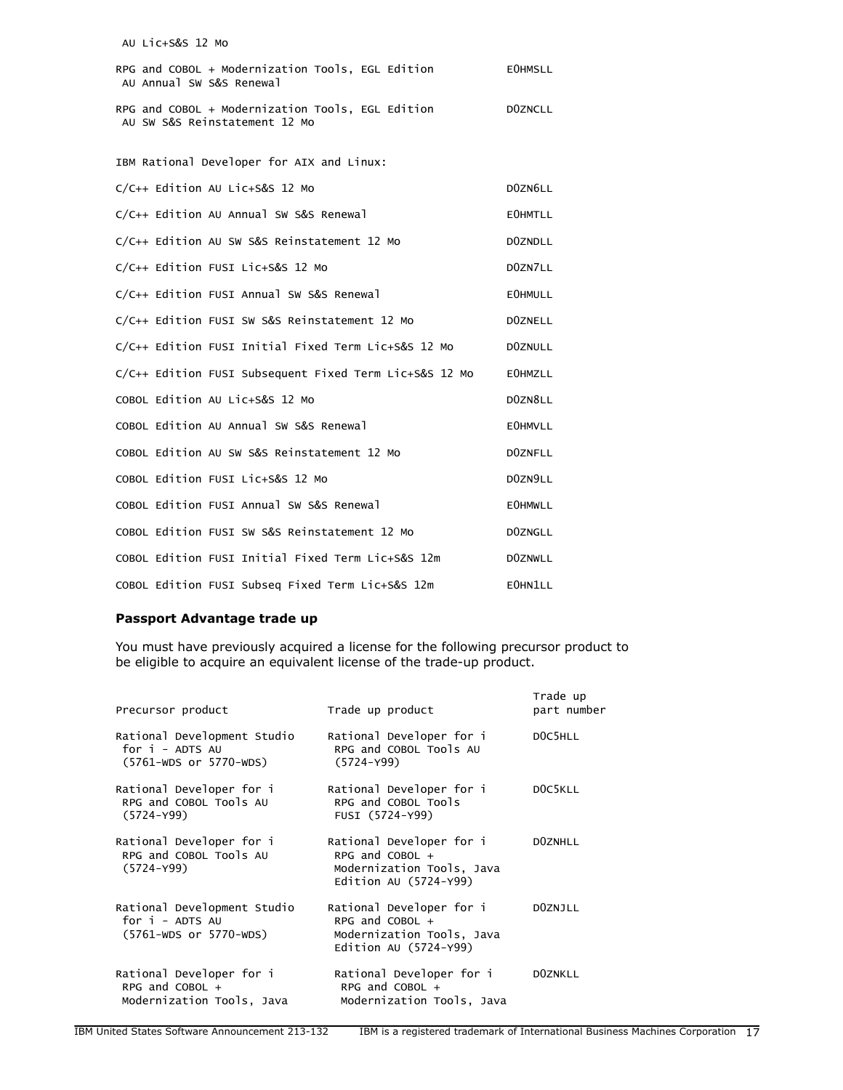#### AU Lic+S&S 12 Mo

| RPG and COBOL + Modernization Tools, EGL Edition<br>AU Annual SW S&S Renewal      | <b>EOHMSLL</b> |
|-----------------------------------------------------------------------------------|----------------|
| RPG and COBOL + Modernization Tools, EGL Edition<br>AU SW S&S Reinstatement 12 Mo | <b>DOZNCLL</b> |
| IBM Rational Developer for AIX and Linux:                                         |                |
| $C/C++$ Edition AU Lic+S&S 12 Mo                                                  | DOZN6LL        |
| C/C++ Edition AU Annual SW S&S Renewal                                            | <b>EOHMTLL</b> |
| C/C++ Edition AU SW S&S Reinstatement 12 Mo                                       | DOZNDLL        |
| C/C++ Edition FUSI Lic+S&S 12 Mo                                                  | DOZN7LL        |
| C/C++ Edition FUSI Annual SW S&S Renewal                                          | <b>EOHMULL</b> |
| C/C++ Edition FUSI SW S&S Reinstatement 12 Mo                                     | DOZNELL        |
| C/C++ Edition FUSI Initial Fixed Term Lic+S&S 12 Mo                               | DOZNULL        |
| C/C++ Edition FUSI Subsequent Fixed Term Lic+S&S 12 Mo                            | <b>EOHMZLL</b> |
| COBOL Edition AU Lic+S&S 12 Mo                                                    | DOZN8LL        |
| COBOL Edition AU Annual SW S&S Renewal                                            | <b>EOHMVLL</b> |
| COBOL Edition AU SW S&S Reinstatement 12 Mo                                       | DOZNFLL        |
| COBOL Edition FUSI Lic+S&S 12 Mo                                                  | DOZN9LL        |
| COBOL Edition FUSI Annual SW S&S Renewal                                          | <b>EOHMWLL</b> |
| COBOL Edition FUSI SW S&S Reinstatement 12 Mo                                     | DOZNGLL        |
| COBOL Edition FUSI Initial Fixed Term Lic+S&S 12m                                 | <b>DOZNWLL</b> |
| COBOL Edition FUSI Subseq Fixed Term Lic+S&S 12m                                  | E0HN1LL        |

## **Passport Advantage trade up**

You must have previously acquired a license for the following precursor product to be eligible to acquire an equivalent license of the trade-up product.

| Precursor product                                                          | Trade up product                                                                                        | Trade up<br>part number |
|----------------------------------------------------------------------------|---------------------------------------------------------------------------------------------------------|-------------------------|
| Rational Development Studio<br>for i - ADTS AU<br>(5761-WDS or 5770-WDS)   | Rational Developer for i<br>RPG and COBOL Tools AU<br>$(5724 - Y99)$                                    | DOC5HLL                 |
| Rational Developer for i<br>RPG and COBOL Tools AU<br>$(5724 - Y99)$       | Rational Developer for i<br>RPG and COBOL Tools<br>FUSI (5724-Y99)                                      | DOC5KLL                 |
| Rational Developer for i<br>RPG and COBOL Tools AU<br>$(5724 - Y99)$       | Rational Developer for i<br>RPG and $COBOL +$<br>Modernization Tools, Java<br>Edition AU $(5724-Y99)$   | <b>DOZNHLL</b>          |
| Rational Development Studio<br>for i - ADTS AU<br>(5761-WDS or 5770-WDS)   | Rational Developer for i<br>RPG and COBOL $+$<br>Modernization Tools, Java<br>Edition AU $(5724 - Y99)$ | DOZNJLL                 |
| Rational Developer for i<br>RPG and COBOL $+$<br>Modernization Tools, Java | Rational Developer for i<br>RPG and COBOL $+$<br>Modernization Tools, Java                              | <b>DOZNKLL</b>          |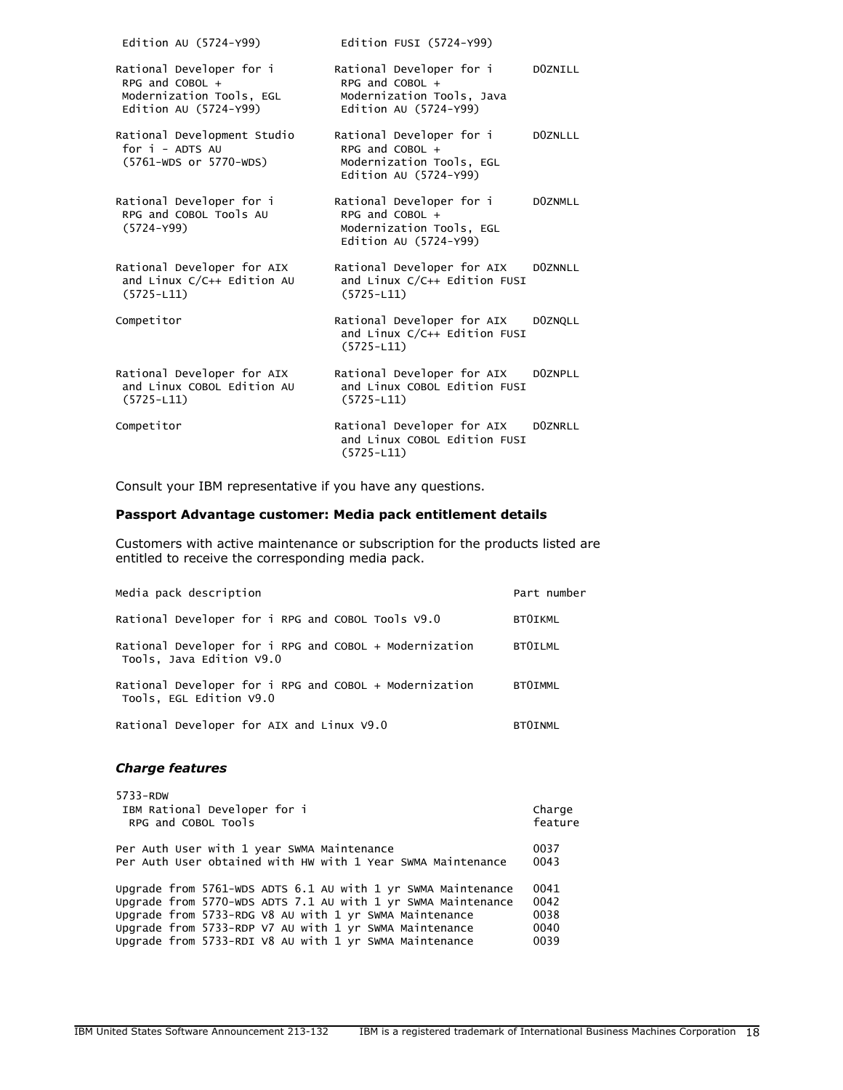| Edition AU $(5724-Y99)$                                                                            | Edition FUSI (5724-Y99)                                                                             |                |
|----------------------------------------------------------------------------------------------------|-----------------------------------------------------------------------------------------------------|----------------|
| Rational Developer for i<br>RPG and COBOL +<br>Modernization Tools, EGL<br>Edition AU $(5724-Y99)$ | Rational Developer for i<br>RPG and COBOL +<br>Modernization Tools, Java<br>Edition AU $(5724-Y99)$ | DOZNILL        |
| Rational Development Studio<br>for i - ADTS AU<br>(5761-WDS or 5770-WDS)                           | Rational Developer for i<br>RPG and COBOL +<br>Modernization Tools, EGL<br>Edition AU $(5724-Y99)$  | DOZNLLL        |
| Rational Developer for i<br>RPG and COBOL Tools AU<br>$(5724 - Y99)$                               | Rational Developer for i<br>RPG and COBOL +<br>Modernization Tools, EGL<br>Edition AU $(5724-Y99)$  | <b>DOZNMLL</b> |
| Rational Developer for AIX<br>and Linux $C/C++$ Edition AU<br>$(5725-L11)$                         | Rational Developer for AIX<br>and Linux C/C++ Edition FUSI<br>$(5725-L11)$                          | DOZNNLL        |
| Competitor                                                                                         | Rational Developer for AIX<br>and Linux C/C++ Edition FUSI<br>$(5725 - L11)$                        | DOZNOLL        |
| Rational Developer for AIX<br>and Linux COBOL Edition AU<br>$(5725-L11)$                           | Rational Developer for AIX<br>and Linux COBOL Edition FUSI<br>$(5725-L11)$                          | DOZNPLL        |
| Competitor                                                                                         | Rational Developer for AIX<br>and Linux COBOL Edition FUSI<br>$(5725-L11)$                          | <b>DOZNRLL</b> |

Consult your IBM representative if you have any questions.

## **Passport Advantage customer: Media pack entitlement details**

Customers with active maintenance or subscription for the products listed are entitled to receive the corresponding media pack.

| Media pack description                                                             | Part number    |
|------------------------------------------------------------------------------------|----------------|
| Rational Developer for i RPG and COBOL Tools V9.0                                  | <b>BTOIKML</b> |
| Rational Developer for i RPG and COBOL + Modernization<br>Tools, Java Edition V9.0 | <b>BTOILML</b> |
| Rational Developer for i RPG and COBOL + Modernization<br>Tools, EGL Edition V9.0  | <b>BTOIMML</b> |
| Rational Developer for AIX and Linux V9.0                                          | <b>BTOINML</b> |

#### *Charge features*

| 5733-RDW<br>IBM Rational Developer for i<br>RPG and COBOL Tools                                           | Charge<br>feature |
|-----------------------------------------------------------------------------------------------------------|-------------------|
| Per Auth User with 1 year SWMA Maintenance<br>Per Auth User obtained with HW with 1 Year SWMA Maintenance | 0037<br>0043      |
| Upgrade from 5761-WDS ADTS 6.1 AU with 1 yr SWMA Maintenance                                              | 0041              |
| Upgrade from 5770-WDS ADTS 7.1 AU with 1 yr SWMA Maintenance                                              | 0042              |
| Upgrade from 5733-RDG V8 AU with 1 yr SWMA Maintenance                                                    | 0038              |
| Upgrade from 5733-RDP V7 AU with 1 yr SWMA Maintenance                                                    | 0040              |
| Upgrade from 5733-RDI V8 AU with 1 yr SWMA Maintenance                                                    | 0039              |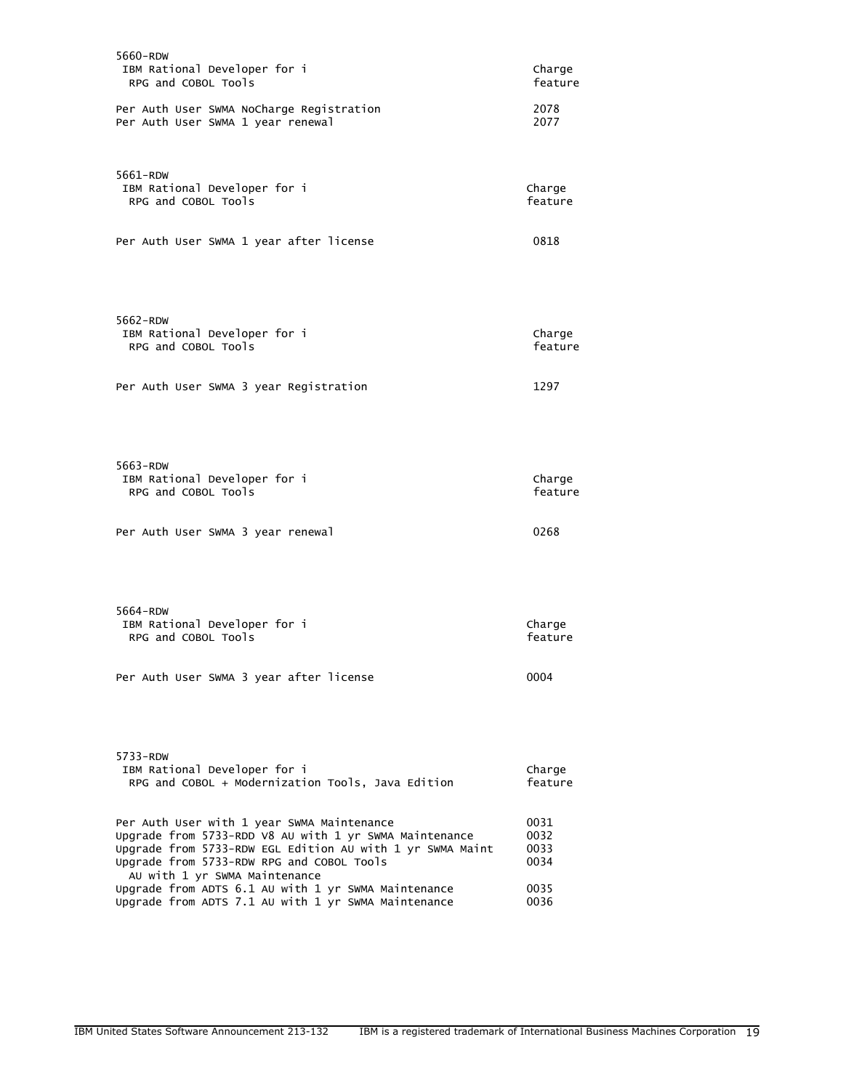| 5660-RDW<br>IBM Rational Developer for i<br>RPG and COBOL Tools                                                                                                                                                                                 | Charge<br>feature            |
|-------------------------------------------------------------------------------------------------------------------------------------------------------------------------------------------------------------------------------------------------|------------------------------|
| Per Auth User SWMA NoCharge Registration<br>Per Auth User SWMA 1 year renewal                                                                                                                                                                   | 2078<br>2077                 |
| 5661-RDW<br>IBM Rational Developer for i<br>RPG and COBOL Tools                                                                                                                                                                                 | Charge<br>feature            |
| Per Auth User SWMA 1 year after license                                                                                                                                                                                                         | 0818                         |
| 5662-RDW<br>IBM Rational Developer for i<br>RPG and COBOL Tools                                                                                                                                                                                 | Charge<br>feature            |
| Per Auth User SWMA 3 year Registration                                                                                                                                                                                                          | 1297                         |
| 5663-RDW<br>IBM Rational Developer for i<br>RPG and COBOL Tools                                                                                                                                                                                 | Charge<br>feature            |
| Per Auth User SWMA 3 year renewal                                                                                                                                                                                                               | 0268                         |
| 5664-RDW<br>IBM Rational Developer for i<br>RPG and COBOL Tools                                                                                                                                                                                 | Charge<br>feature            |
| Per Auth User SWMA 3 year after license                                                                                                                                                                                                         | 0004                         |
| 5733-RDW<br>IBM Rational Developer for i<br>RPG and COBOL + Modernization Tools, Java Edition                                                                                                                                                   | Charge<br>feature            |
| Per Auth User with 1 year SWMA Maintenance<br>Upgrade from 5733-RDD V8 AU with 1 yr SWMA Maintenance<br>Upgrade from 5733-RDW EGL Edition AU with 1 yr SWMA Maint<br>Upgrade from 5733-RDW RPG and COBOL Tools<br>AU with 1 yr SWMA Maintenance | 0031<br>0032<br>0033<br>0034 |
| Upgrade from ADTS 6.1 AU with 1 yr SWMA Maintenance<br>Upgrade from ADTS 7.1 AU with 1 yr SWMA Maintenance                                                                                                                                      | 0035<br>0036                 |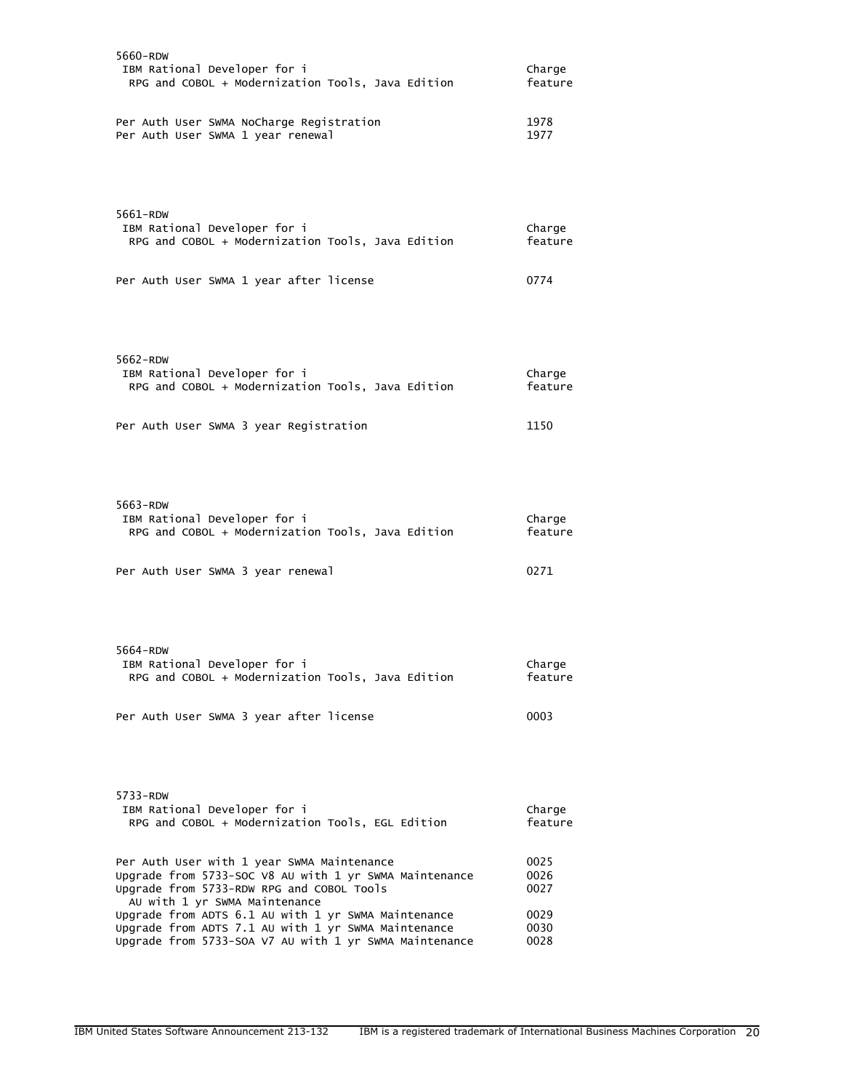| 5660-RDW<br>IBM Rational Developer for i<br>RPG and COBOL + Modernization Tools, Java Edition                                                                                      | Charge<br>feature    |
|------------------------------------------------------------------------------------------------------------------------------------------------------------------------------------|----------------------|
| Per Auth User SWMA NoCharge Registration<br>Per Auth User SWMA 1 year renewal                                                                                                      | 1978<br>1977         |
| 5661-RDW<br>IBM Rational Developer for i<br>RPG and COBOL + Modernization Tools, Java Edition                                                                                      | Charge<br>feature    |
| Per Auth User SWMA 1 year after license                                                                                                                                            | 0774                 |
| 5662-RDW<br>IBM Rational Developer for i<br>RPG and COBOL + Modernization Tools, Java Edition                                                                                      | Charge<br>feature    |
| Per Auth User SWMA 3 year Registration                                                                                                                                             | 1150                 |
| 5663-RDW<br>IBM Rational Developer for i<br>RPG and COBOL + Modernization Tools, Java Edition                                                                                      | Charge<br>feature    |
| Per Auth User SWMA 3 year renewal                                                                                                                                                  | 0271                 |
| 5664-RDW<br>IBM Rational Developer for i<br>RPG and COBOL + Modernization Tools, Java Edition                                                                                      | Charge<br>feature    |
| Per Auth User SWMA 3 year after license                                                                                                                                            | 0003                 |
| 5733-RDW<br>IBM Rational Developer for i<br>RPG and COBOL + Modernization Tools, EGL Edition                                                                                       | Charge<br>feature    |
| Per Auth User with 1 year SWMA Maintenance<br>Upgrade from 5733-SOC V8 AU with 1 yr SWMA Maintenance<br>Upgrade from 5733-RDW RPG and COBOL Tools<br>AU with 1 yr SWMA Maintenance | 0025<br>0026<br>0027 |
| Upgrade from ADTS 6.1 AU with 1 yr SWMA Maintenance<br>Upgrade from ADTS 7.1 AU with 1 yr SWMA Maintenance<br>Upgrade from 5733-SOA V7 AU with 1 yr SWMA Maintenance               | 0029<br>0030<br>0028 |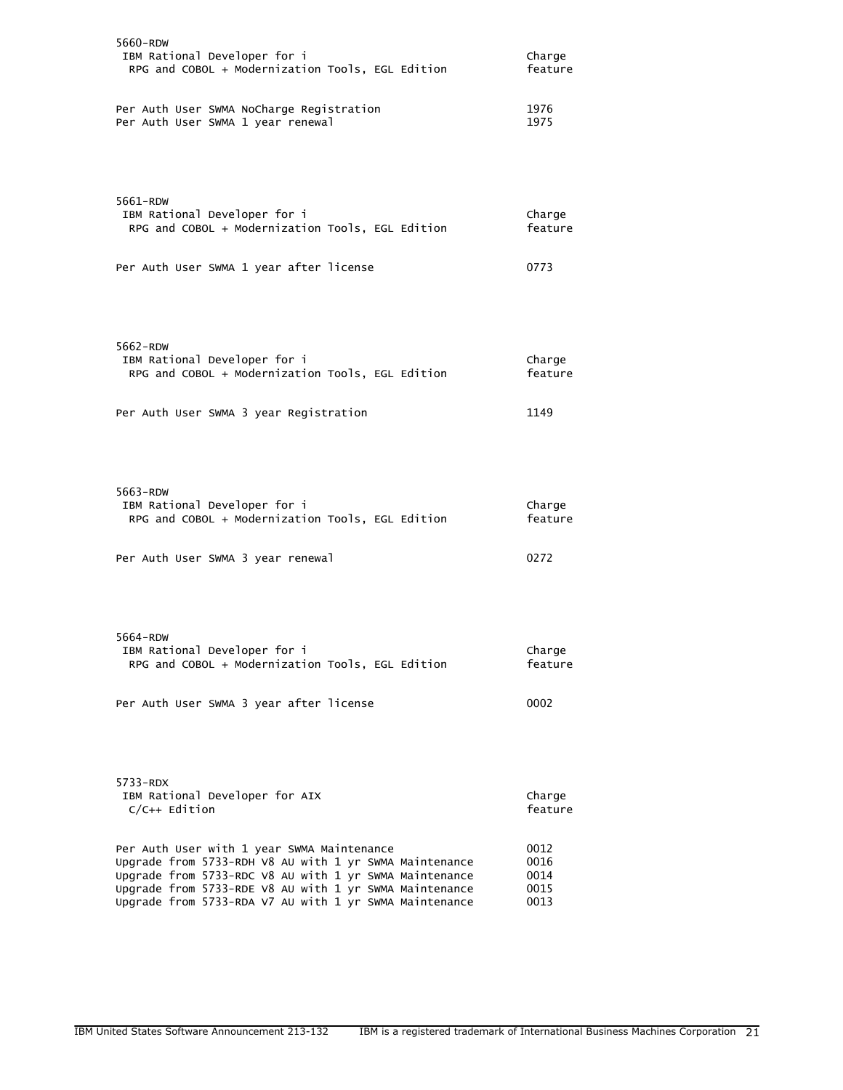| 5660-RDW<br>IBM Rational Developer for i<br>RPG and COBOL + Modernization Tools, EGL Edition                                                                                                                                                                                       | Charge<br>feature                    |
|------------------------------------------------------------------------------------------------------------------------------------------------------------------------------------------------------------------------------------------------------------------------------------|--------------------------------------|
| Per Auth User SWMA NoCharge Registration<br>Per Auth User SWMA 1 year renewal                                                                                                                                                                                                      | 1976<br>1975                         |
| 5661-RDW<br>IBM Rational Developer for i<br>RPG and COBOL + Modernization Tools, EGL Edition                                                                                                                                                                                       | Charge<br>feature                    |
| Per Auth User SWMA 1 year after license                                                                                                                                                                                                                                            | 0773                                 |
| 5662-RDW<br>IBM Rational Developer for i<br>RPG and COBOL + Modernization Tools, EGL Edition                                                                                                                                                                                       | Charge<br>feature                    |
| Per Auth User SWMA 3 year Registration                                                                                                                                                                                                                                             | 1149                                 |
| 5663-RDW<br>IBM Rational Developer for i<br>RPG and COBOL + Modernization Tools, EGL Edition                                                                                                                                                                                       | Charge<br>feature                    |
| Per Auth User SWMA 3 year renewal                                                                                                                                                                                                                                                  | 0272                                 |
| 5664-RDW<br>IBM Rational Developer for i<br>RPG and COBOL + Modernization Tools, EGL Edition                                                                                                                                                                                       | Charge<br>feature                    |
| Per Auth User SWMA 3 year after license                                                                                                                                                                                                                                            | 0002                                 |
| 5733-RDX<br>IBM Rational Developer for AIX<br>$C/C_{++}$ Edition                                                                                                                                                                                                                   | Charge<br>feature                    |
| Per Auth User with 1 year SWMA Maintenance<br>Upgrade from 5733-RDH V8 AU with 1 yr SWMA Maintenance<br>Upgrade from 5733-RDC V8 AU with 1 yr SWMA Maintenance<br>Upgrade from 5733-RDE V8 AU with 1 yr SWMA Maintenance<br>Upgrade from 5733-RDA V7 AU with 1 yr SWMA Maintenance | 0012<br>0016<br>0014<br>0015<br>0013 |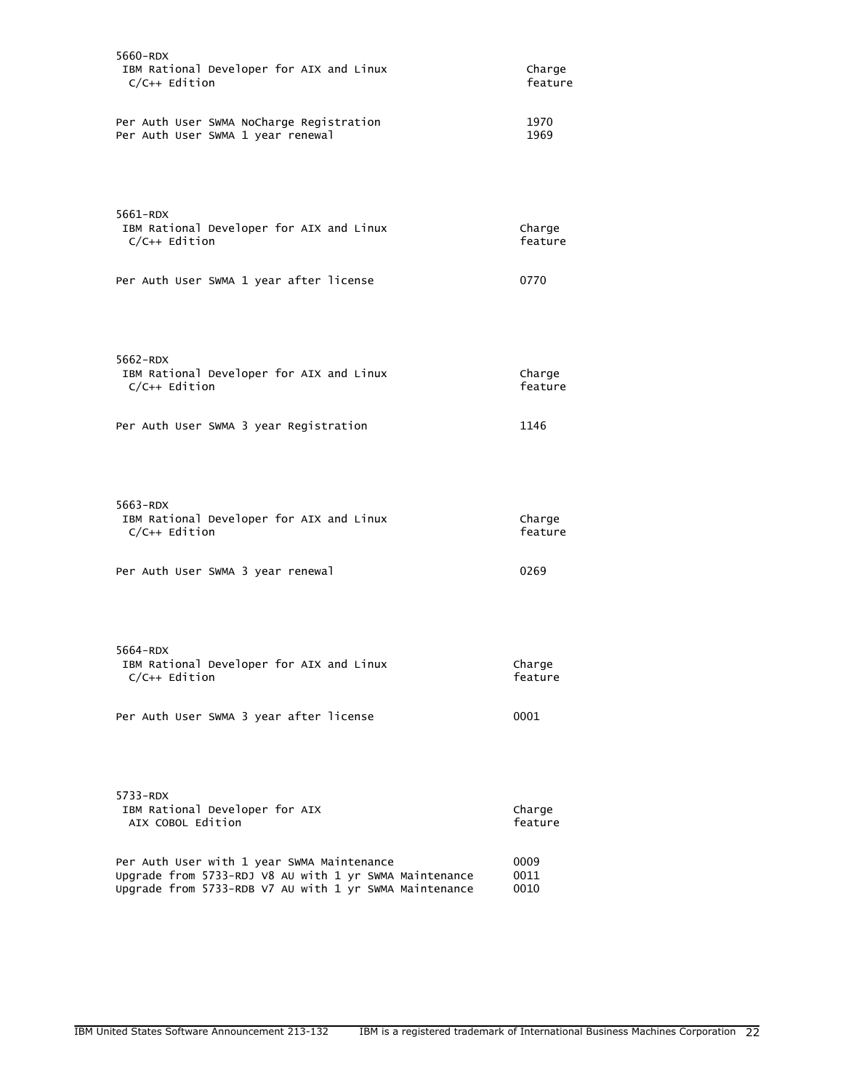| 5660-RDX<br>IBM Rational Developer for AIX and Linux<br>$C/C++$ Edition                                                                                        | Charge<br>feature    |
|----------------------------------------------------------------------------------------------------------------------------------------------------------------|----------------------|
| Per Auth User SWMA NoCharge Registration<br>Per Auth User SWMA 1 year renewal                                                                                  | 1970<br>1969         |
| 5661-RDX<br>IBM Rational Developer for AIX and Linux<br>$C/C++$ Edition                                                                                        | Charge<br>feature    |
| Per Auth User SWMA 1 year after license                                                                                                                        | 0770                 |
| 5662-RDX<br>IBM Rational Developer for AIX and Linux<br>$C/C++$ Edition                                                                                        | Charge<br>feature    |
| Per Auth User SWMA 3 year Registration                                                                                                                         | 1146                 |
| 5663-RDX<br>IBM Rational Developer for AIX and Linux<br>$C/C++$ Edition                                                                                        | Charge<br>feature    |
| Per Auth User SWMA 3 year renewal                                                                                                                              | 0269                 |
| 5664-RDX<br>IBM Rational Developer for AIX and Linux<br>$C/C++$ Edition                                                                                        | Charge<br>feature    |
| Per Auth User SWMA 3 year after license                                                                                                                        | 0001                 |
| 5733-RDX<br>IBM Rational Developer for AIX<br>AIX COBOL Edition                                                                                                | Charge<br>feature    |
| Per Auth User with 1 year SWMA Maintenance<br>Upgrade from 5733-RDJ V8 AU with 1 yr SWMA Maintenance<br>Upgrade from 5733-RDB V7 AU with 1 yr SWMA Maintenance | 0009<br>0011<br>0010 |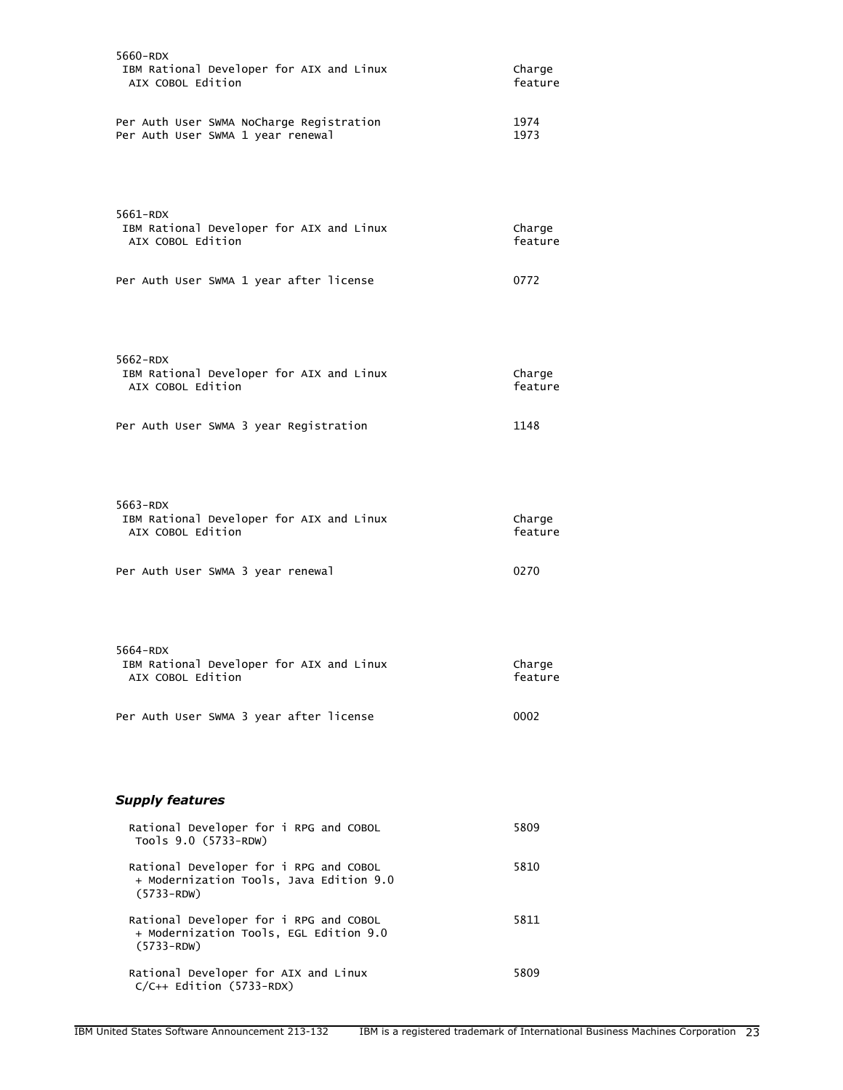| 5660-RDX<br>IBM Rational Developer for AIX and Linux<br>AIX COBOL Edition                           | Charge<br>feature |
|-----------------------------------------------------------------------------------------------------|-------------------|
| Per Auth User SWMA NoCharge Registration<br>Per Auth User SWMA 1 year renewal                       | 1974<br>1973      |
| 5661-RDX<br>IBM Rational Developer for AIX and Linux<br>AIX COBOL Edition                           | Charge<br>feature |
| Per Auth User SWMA 1 year after license                                                             | 0772              |
| 5662-RDX<br>IBM Rational Developer for AIX and Linux<br>AIX COBOL Edition                           | Charge<br>feature |
| Per Auth User SWMA 3 year Registration                                                              | 1148              |
| $5663 - RDX$<br>IBM Rational Developer for AIX and Linux<br>AIX COBOL Edition                       | Charge<br>feature |
| Per Auth User SWMA 3 year renewal                                                                   | 0270              |
| 5664-RDX<br>IBM Rational Developer for AIX and Linux<br>AIX COBOL Edition                           | Charge<br>feature |
| Per Auth User SWMA 3 year after license                                                             | 0002              |
| <b>Supply features</b>                                                                              |                   |
| Rational Developer for i RPG and COBOL<br>Tools 9.0 (5733-RDW)                                      | 5809              |
| Rational Developer for i RPG and COBOL<br>+ Modernization Tools, Java Edition 9.0<br>$(5733 - RDW)$ | 5810              |
| Rational Developer for i RPG and COBOL<br>+ Modernization Tools, EGL Edition 9.0<br>$(5733 - RDW)$  | 5811              |
| Rational Developer for AIX and Linux<br>$C/C++$ Edition (5733-RDX)                                  | 5809              |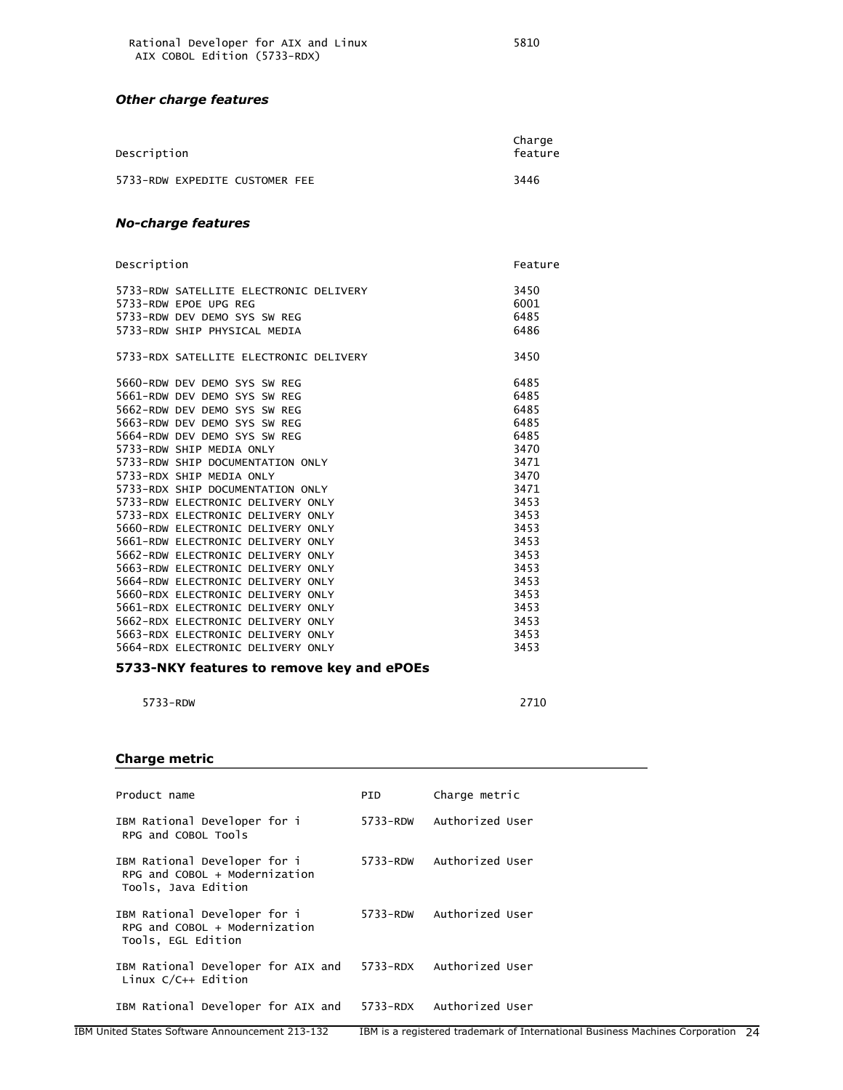## *Other charge features*

| Description                    | Charge<br>feature |
|--------------------------------|-------------------|
| 5733-RDW EXPEDITE CUSTOMER FEE | 3446              |

## *No-charge features*

| Description                            | Feature |
|----------------------------------------|---------|
| 5733-RDW SATELLITE ELECTRONIC DELIVERY | 3450    |
| 5733-RDW EPOE UPG REG                  | 6001    |
| 5733-RDW DEV DEMO SYS SW REG           | 6485    |
| 5733-RDW SHIP PHYSICAL MEDIA           | 6486    |
| 5733-RDX SATELLITE ELECTRONIC DELIVERY | 3450    |
| 5660-RDW DEV DEMO SYS SW REG           | 6485    |
| 5661-RDW DEV DEMO SYS SW REG           | 6485    |
| 5662-RDW DEV DEMO SYS SW REG           | 6485    |
| 5663-RDW DEV DEMO SYS SW REG           | 6485    |
| 5664-RDW DEV DEMO SYS SW REG           | 6485    |
| 5733-RDW SHIP MEDIA ONLY               | 3470    |
| 5733-RDW SHIP DOCUMENTATION ONLY       | 3471    |
| 5733-RDX SHIP MEDIA ONLY               | 3470    |
| 5733-RDX SHIP DOCUMENTATION ONLY       | 3471    |
| 5733-RDW ELECTRONIC DELIVERY ONLY      | 3453    |
| 5733-RDX ELECTRONIC DELIVERY ONLY      | 3453    |
| 5660-RDW ELECTRONIC DELIVERY ONLY      | 3453    |
| 5661-RDW ELECTRONIC DELIVERY ONLY      | 3453    |
| 5662-RDW ELECTRONIC DELIVERY ONLY      | 3453    |
| 5663-RDW ELECTRONIC DELIVERY ONLY      | 3453    |
| 5664-RDW ELECTRONIC DELIVERY ONLY      | 3453    |
| 5660-RDX ELECTRONIC DELIVERY ONLY      | 3453    |
| 5661-RDX ELECTRONIC DELIVERY ONLY      | 3453    |
| 5662-RDX ELECTRONIC DELIVERY ONLY      | 3453    |
| 5663-RDX ELECTRONIC DELIVERY ONLY      | 3453    |
| 5664-RDX ELECTRONIC DELIVERY ONLY      | 3453    |

## **5733-NKY features to remove key and ePOEs**

5733-RDW 2710

## **Charge metric**

| Product name                                                                         | PID | Charge metric            |
|--------------------------------------------------------------------------------------|-----|--------------------------|
| IBM Rational Developer for i<br>RPG and COBOL Tools                                  |     | 5733-RDW Authorized User |
| IBM Rational Developer for i<br>RPG and COBOL + Modernization<br>Tools, Java Edition |     | 5733-RDW Authorized User |
| IBM Rational Developer for i<br>RPG and COBOL + Modernization<br>Tools, EGL Edition  |     | 5733-RDW Authorized User |
| IBM Rational Developer for AIX and<br>Linux $C/C++$ Edition                          |     | 5733-RDX Authorized User |
| IBM Rational Developer for AIX and                                                   |     | 5733-RDX Authorized User |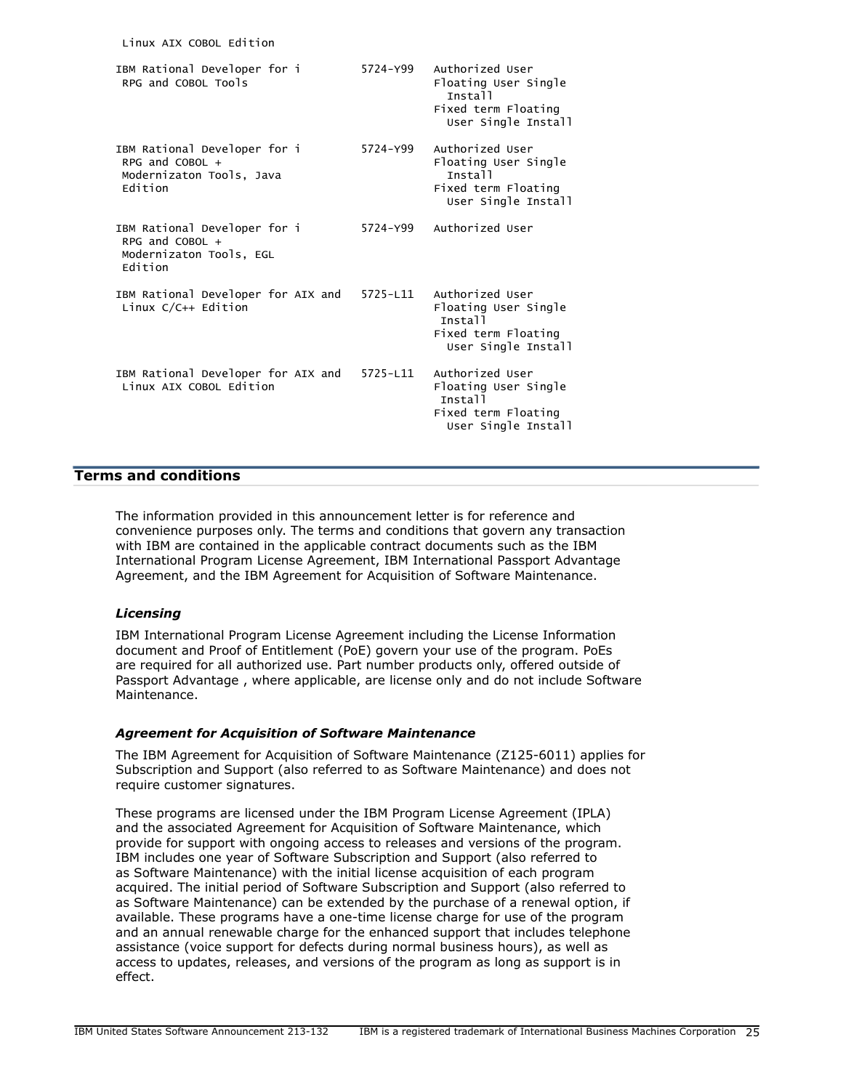| Linux AIX COBOL Edition                                                                       |          |                                                                                                  |
|-----------------------------------------------------------------------------------------------|----------|--------------------------------------------------------------------------------------------------|
| IBM Rational Developer for i<br>RPG and COBOL Tools                                           | 5724-Y99 | Authorized User<br>Floating User Single<br>Tnstall<br>Fixed term Floating<br>User Single Install |
| IBM Rational Developer for i<br>RPG and COBOL +<br>Modernizaton Tools, Java<br><b>Edition</b> | 5724-Y99 | Authorized User<br>Floating User Single<br>Tnstall<br>Fixed term Floating<br>User Single Install |
| IBM Rational Developer for i<br>RPG and COBOL +<br>Modernizaton Tools, EGL<br>Edition         | 5724–Y99 | Authorized User                                                                                  |
| IBM Rational Developer for AIX and<br>Linux C/C++ Edition                                     | 5725-L11 | Authorized User<br>Floating User Single<br>Install<br>Fixed term Floating<br>User Single Install |
| IBM Rational Developer for AIX and<br>Linux AIX COBOL Edition                                 | 5725-L11 | Authorized User<br>Floating User Single<br>Install<br>Fixed term Floating<br>User Single Install |

## <span id="page-24-0"></span>**Terms and conditions**

The information provided in this announcement letter is for reference and convenience purposes only. The terms and conditions that govern any transaction with IBM are contained in the applicable contract documents such as the IBM International Program License Agreement, IBM International Passport Advantage Agreement, and the IBM Agreement for Acquisition of Software Maintenance.

#### *Licensing*

IBM International Program License Agreement including the License Information document and Proof of Entitlement (PoE) govern your use of the program. PoEs are required for all authorized use. Part number products only, offered outside of Passport Advantage , where applicable, are license only and do not include Software Maintenance.

#### *Agreement for Acquisition of Software Maintenance*

The IBM Agreement for Acquisition of Software Maintenance (Z125-6011) applies for Subscription and Support (also referred to as Software Maintenance) and does not require customer signatures.

These programs are licensed under the IBM Program License Agreement (IPLA) and the associated Agreement for Acquisition of Software Maintenance, which provide for support with ongoing access to releases and versions of the program. IBM includes one year of Software Subscription and Support (also referred to as Software Maintenance) with the initial license acquisition of each program acquired. The initial period of Software Subscription and Support (also referred to as Software Maintenance) can be extended by the purchase of a renewal option, if available. These programs have a one-time license charge for use of the program and an annual renewable charge for the enhanced support that includes telephone assistance (voice support for defects during normal business hours), as well as access to updates, releases, and versions of the program as long as support is in effect.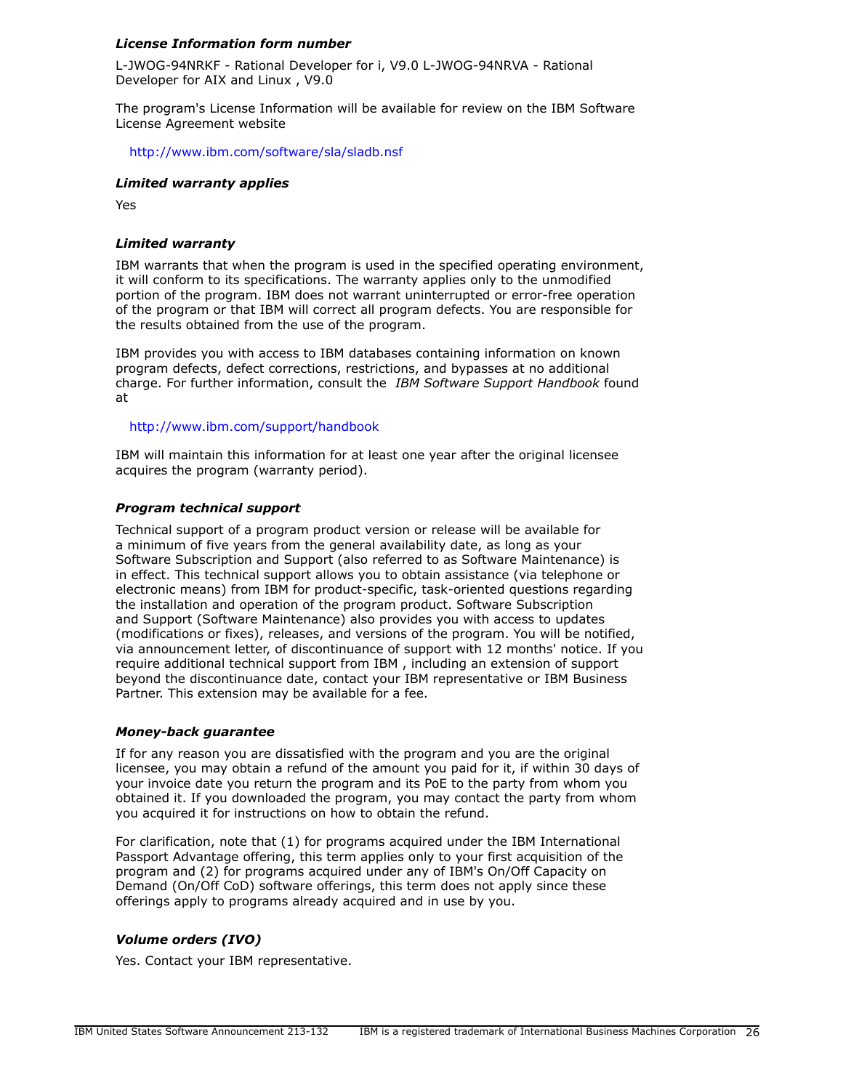## *License Information form number*

L-JWOG-94NRKF - Rational Developer for i, V9.0 L-JWOG-94NRVA - Rational Developer for AIX and Linux , V9.0

The program's License Information will be available for review on the IBM Software License Agreement website

<http://www.ibm.com/software/sla/sladb.nsf>

#### *Limited warranty applies*

Yes

#### *Limited warranty*

IBM warrants that when the program is used in the specified operating environment, it will conform to its specifications. The warranty applies only to the unmodified portion of the program. IBM does not warrant uninterrupted or error-free operation of the program or that IBM will correct all program defects. You are responsible for the results obtained from the use of the program.

IBM provides you with access to IBM databases containing information on known program defects, defect corrections, restrictions, and bypasses at no additional charge. For further information, consult the *IBM Software Support Handbook* found at

#### <http://www.ibm.com/support/handbook>

IBM will maintain this information for at least one year after the original licensee acquires the program (warranty period).

#### *Program technical support*

Technical support of a program product version or release will be available for a minimum of five years from the general availability date, as long as your Software Subscription and Support (also referred to as Software Maintenance) is in effect. This technical support allows you to obtain assistance (via telephone or electronic means) from IBM for product-specific, task-oriented questions regarding the installation and operation of the program product. Software Subscription and Support (Software Maintenance) also provides you with access to updates (modifications or fixes), releases, and versions of the program. You will be notified, via announcement letter, of discontinuance of support with 12 months' notice. If you require additional technical support from IBM , including an extension of support beyond the discontinuance date, contact your IBM representative or IBM Business Partner. This extension may be available for a fee.

#### *Money-back guarantee*

If for any reason you are dissatisfied with the program and you are the original licensee, you may obtain a refund of the amount you paid for it, if within 30 days of your invoice date you return the program and its PoE to the party from whom you obtained it. If you downloaded the program, you may contact the party from whom you acquired it for instructions on how to obtain the refund.

For clarification, note that (1) for programs acquired under the IBM International Passport Advantage offering, this term applies only to your first acquisition of the program and (2) for programs acquired under any of IBM's On/Off Capacity on Demand (On/Off CoD) software offerings, this term does not apply since these offerings apply to programs already acquired and in use by you.

#### *Volume orders (IVO)*

Yes. Contact your IBM representative.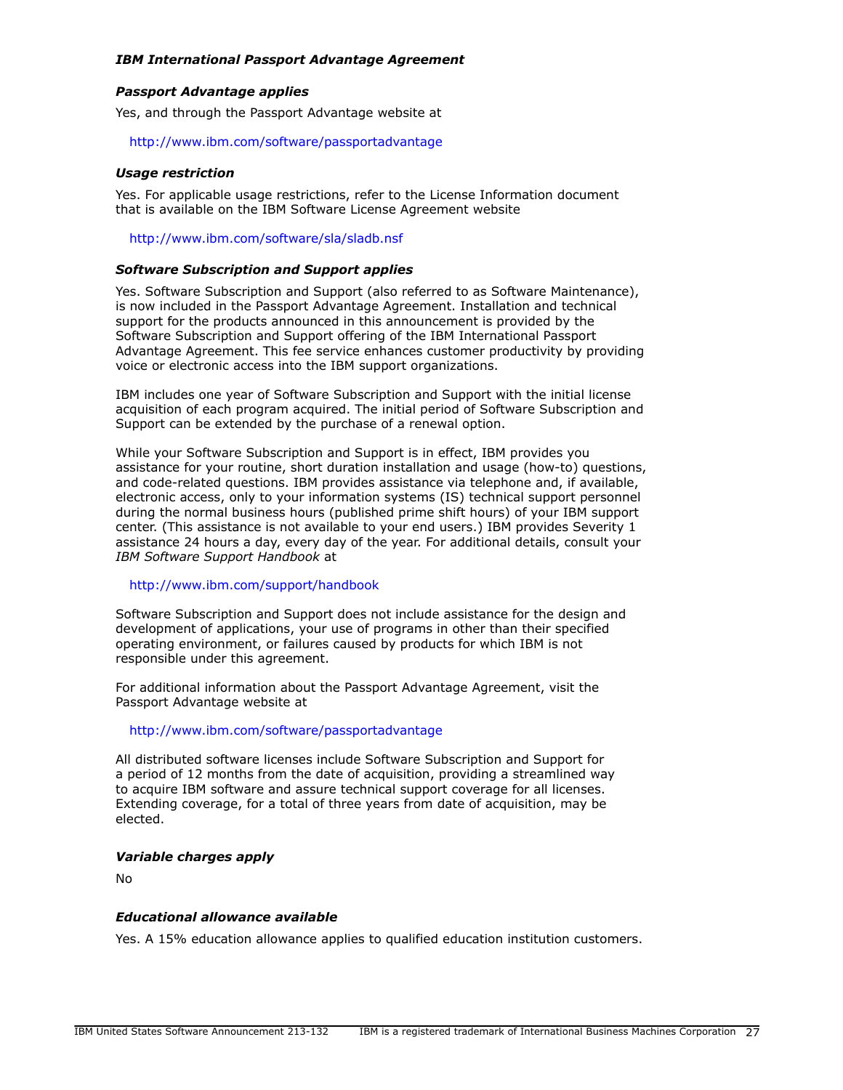## *IBM International Passport Advantage Agreement*

## *Passport Advantage applies*

Yes, and through the Passport Advantage website at

#### <http://www.ibm.com/software/passportadvantage>

#### <span id="page-26-0"></span>*Usage restriction*

Yes. For applicable usage restrictions, refer to the License Information document that is available on the IBM Software License Agreement website

<http://www.ibm.com/software/sla/sladb.nsf>

#### *Software Subscription and Support applies*

Yes. Software Subscription and Support (also referred to as Software Maintenance), is now included in the Passport Advantage Agreement. Installation and technical support for the products announced in this announcement is provided by the Software Subscription and Support offering of the IBM International Passport Advantage Agreement. This fee service enhances customer productivity by providing voice or electronic access into the IBM support organizations.

IBM includes one year of Software Subscription and Support with the initial license acquisition of each program acquired. The initial period of Software Subscription and Support can be extended by the purchase of a renewal option.

While your Software Subscription and Support is in effect, IBM provides you assistance for your routine, short duration installation and usage (how-to) questions, and code-related questions. IBM provides assistance via telephone and, if available, electronic access, only to your information systems (IS) technical support personnel during the normal business hours (published prime shift hours) of your IBM support center. (This assistance is not available to your end users.) IBM provides Severity 1 assistance 24 hours a day, every day of the year. For additional details, consult your *IBM Software Support Handbook* at

## <http://www.ibm.com/support/handbook>

Software Subscription and Support does not include assistance for the design and development of applications, your use of programs in other than their specified operating environment, or failures caused by products for which IBM is not responsible under this agreement.

For additional information about the Passport Advantage Agreement, visit the Passport Advantage website at

#### <http://www.ibm.com/software/passportadvantage>

All distributed software licenses include Software Subscription and Support for a period of 12 months from the date of acquisition, providing a streamlined way to acquire IBM software and assure technical support coverage for all licenses. Extending coverage, for a total of three years from date of acquisition, may be elected.

#### *Variable charges apply*

No

## *Educational allowance available*

Yes. A 15% education allowance applies to qualified education institution customers.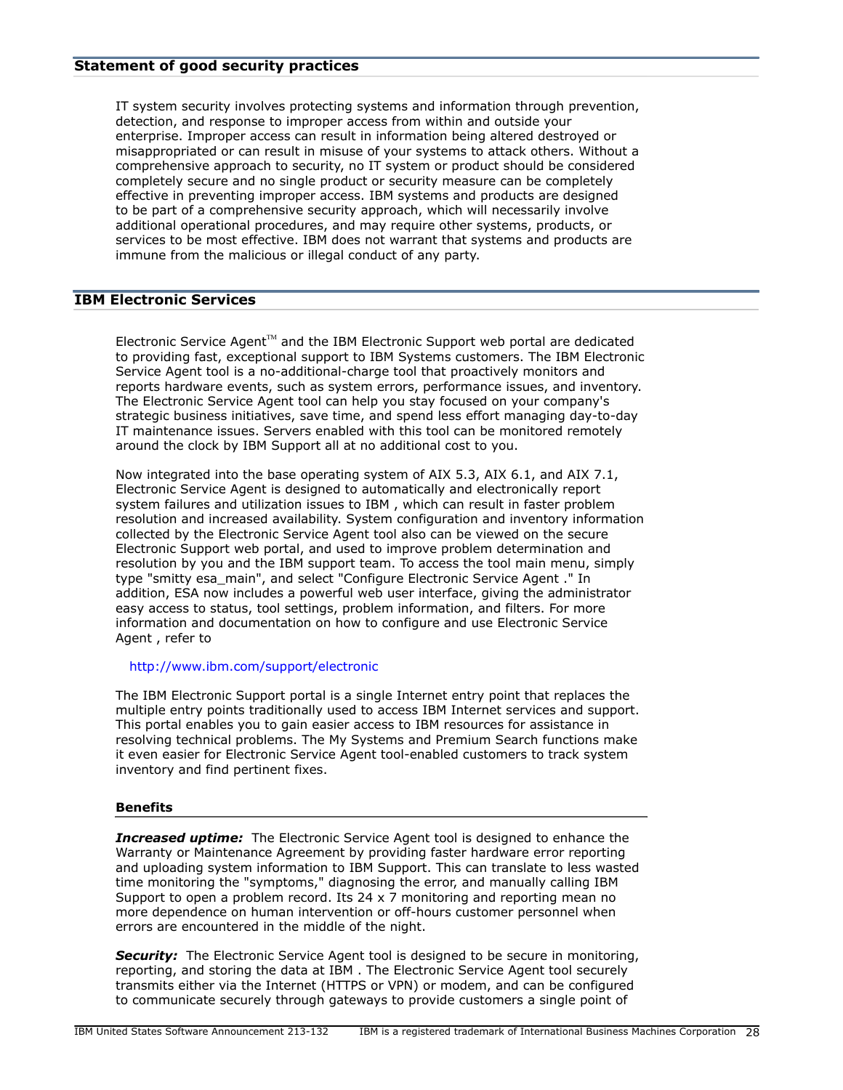IT system security involves protecting systems and information through prevention, detection, and response to improper access from within and outside your enterprise. Improper access can result in information being altered destroyed or misappropriated or can result in misuse of your systems to attack others. Without a comprehensive approach to security, no IT system or product should be considered completely secure and no single product or security measure can be completely effective in preventing improper access. IBM systems and products are designed to be part of a comprehensive security approach, which will necessarily involve additional operational procedures, and may require other systems, products, or services to be most effective. IBM does not warrant that systems and products are immune from the malicious or illegal conduct of any party.

## **IBM Electronic Services**

Electronic Service Agent $T^M$  and the IBM Electronic Support web portal are dedicated to providing fast, exceptional support to IBM Systems customers. The IBM Electronic Service Agent tool is a no-additional-charge tool that proactively monitors and reports hardware events, such as system errors, performance issues, and inventory. The Electronic Service Agent tool can help you stay focused on your company's strategic business initiatives, save time, and spend less effort managing day-to-day IT maintenance issues. Servers enabled with this tool can be monitored remotely around the clock by IBM Support all at no additional cost to you.

Now integrated into the base operating system of AIX 5.3, AIX 6.1, and AIX 7.1, Electronic Service Agent is designed to automatically and electronically report system failures and utilization issues to IBM , which can result in faster problem resolution and increased availability. System configuration and inventory information collected by the Electronic Service Agent tool also can be viewed on the secure Electronic Support web portal, and used to improve problem determination and resolution by you and the IBM support team. To access the tool main menu, simply type "smitty esa\_main", and select "Configure Electronic Service Agent ." In addition, ESA now includes a powerful web user interface, giving the administrator easy access to status, tool settings, problem information, and filters. For more information and documentation on how to configure and use Electronic Service Agent , refer to

## <http://www.ibm.com/support/electronic>

The IBM Electronic Support portal is a single Internet entry point that replaces the multiple entry points traditionally used to access IBM Internet services and support. This portal enables you to gain easier access to IBM resources for assistance in resolving technical problems. The My Systems and Premium Search functions make it even easier for Electronic Service Agent tool-enabled customers to track system inventory and find pertinent fixes.

#### **Benefits**

**Increased uptime:** The Electronic Service Agent tool is designed to enhance the Warranty or Maintenance Agreement by providing faster hardware error reporting and uploading system information to IBM Support. This can translate to less wasted time monitoring the "symptoms," diagnosing the error, and manually calling IBM Support to open a problem record. Its 24 x 7 monitoring and reporting mean no more dependence on human intervention or off-hours customer personnel when errors are encountered in the middle of the night.

**Security:** The Electronic Service Agent tool is designed to be secure in monitoring, reporting, and storing the data at IBM . The Electronic Service Agent tool securely transmits either via the Internet (HTTPS or VPN) or modem, and can be configured to communicate securely through gateways to provide customers a single point of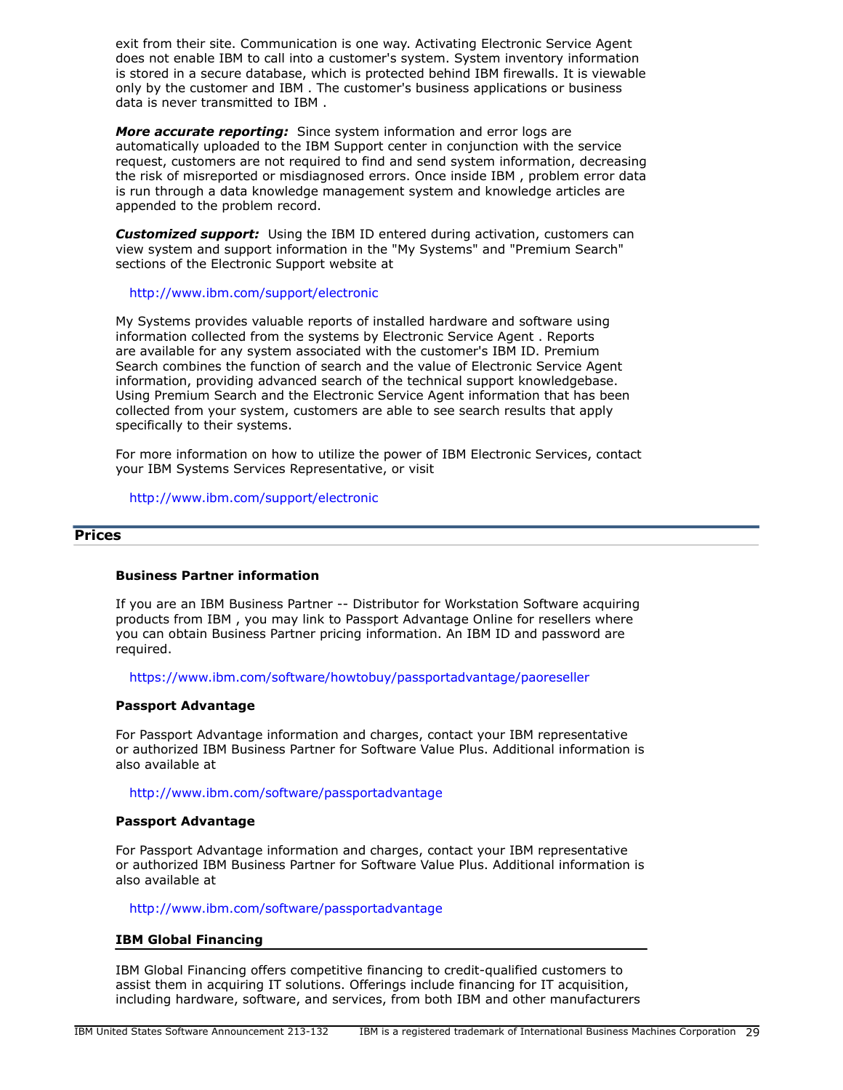exit from their site. Communication is one way. Activating Electronic Service Agent does not enable IBM to call into a customer's system. System inventory information is stored in a secure database, which is protected behind IBM firewalls. It is viewable only by the customer and IBM . The customer's business applications or business data is never transmitted to IBM .

*More accurate reporting:* Since system information and error logs are automatically uploaded to the IBM Support center in conjunction with the service request, customers are not required to find and send system information, decreasing the risk of misreported or misdiagnosed errors. Once inside IBM , problem error data is run through a data knowledge management system and knowledge articles are appended to the problem record.

*Customized support:* Using the IBM ID entered during activation, customers can view system and support information in the "My Systems" and "Premium Search" sections of the Electronic Support website at

<http://www.ibm.com/support/electronic>

My Systems provides valuable reports of installed hardware and software using information collected from the systems by Electronic Service Agent . Reports are available for any system associated with the customer's IBM ID. Premium Search combines the function of search and the value of Electronic Service Agent information, providing advanced search of the technical support knowledgebase. Using Premium Search and the Electronic Service Agent information that has been collected from your system, customers are able to see search results that apply specifically to their systems.

For more information on how to utilize the power of IBM Electronic Services, contact your IBM Systems Services Representative, or visit

<http://www.ibm.com/support/electronic>

## <span id="page-28-0"></span>**Prices**

## **Business Partner information**

If you are an IBM Business Partner -- Distributor for Workstation Software acquiring products from IBM , you may link to Passport Advantage Online for resellers where you can obtain Business Partner pricing information. An IBM ID and password are required.

<https://www.ibm.com/software/howtobuy/passportadvantage/paoreseller>

#### **Passport Advantage**

For Passport Advantage information and charges, contact your IBM representative or authorized IBM Business Partner for Software Value Plus. Additional information is also available at

<http://www.ibm.com/software/passportadvantage>

#### **Passport Advantage**

For Passport Advantage information and charges, contact your IBM representative or authorized IBM Business Partner for Software Value Plus. Additional information is also available at

## <http://www.ibm.com/software/passportadvantage>

#### **IBM Global Financing**

IBM Global Financing offers competitive financing to credit-qualified customers to assist them in acquiring IT solutions. Offerings include financing for IT acquisition, including hardware, software, and services, from both IBM and other manufacturers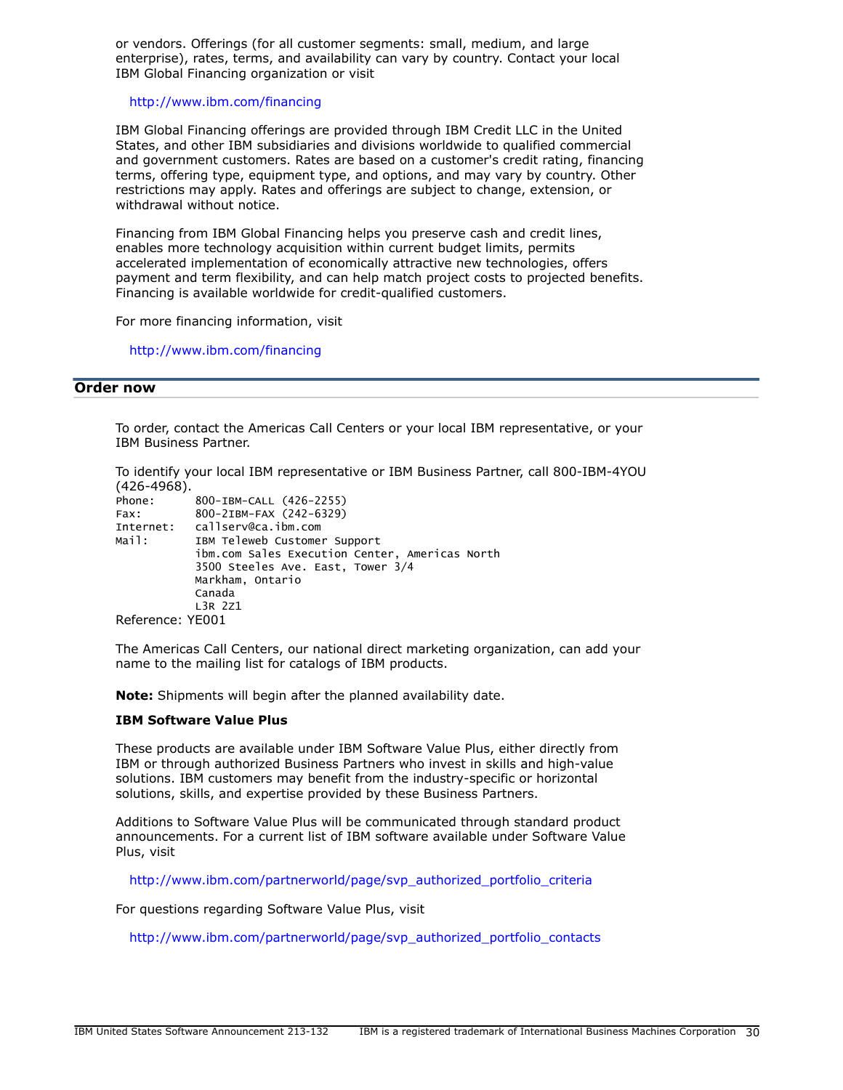or vendors. Offerings (for all customer segments: small, medium, and large enterprise), rates, terms, and availability can vary by country. Contact your local IBM Global Financing organization or visit

<http://www.ibm.com/financing>

IBM Global Financing offerings are provided through IBM Credit LLC in the United States, and other IBM subsidiaries and divisions worldwide to qualified commercial and government customers. Rates are based on a customer's credit rating, financing terms, offering type, equipment type, and options, and may vary by country. Other restrictions may apply. Rates and offerings are subject to change, extension, or withdrawal without notice.

Financing from IBM Global Financing helps you preserve cash and credit lines, enables more technology acquisition within current budget limits, permits accelerated implementation of economically attractive new technologies, offers payment and term flexibility, and can help match project costs to projected benefits. Financing is available worldwide for credit-qualified customers.

For more financing information, visit

<http://www.ibm.com/financing>

## <span id="page-29-0"></span>**Order now**

To order, contact the Americas Call Centers or your local IBM representative, or your IBM Business Partner.

To identify your local IBM representative or IBM Business Partner, call 800-IBM-4YOU (426-4968).

```
Phone: 800-IBM-CALL (426-2255)
Fax: 800-2IBM-FAX (242-6329)
Internet: callserv@ca.ibm.com
Mail: IBM Teleweb Customer Support
            ibm.com Sales Execution Center, Americas North
            3500 Steeles Ave. East, Tower 3/4
            Markham, Ontario
            Canada
            L3R 2Z1
Reference: YE001
```
The Americas Call Centers, our national direct marketing organization, can add your name to the mailing list for catalogs of IBM products.

**Note:** Shipments will begin after the planned availability date.

## **IBM Software Value Plus**

These products are available under IBM Software Value Plus, either directly from IBM or through authorized Business Partners who invest in skills and high-value solutions. IBM customers may benefit from the industry-specific or horizontal solutions, skills, and expertise provided by these Business Partners.

Additions to Software Value Plus will be communicated through standard product announcements. For a current list of IBM software available under Software Value Plus, visit

[http://www.ibm.com/partnerworld/page/svp\\_authorized\\_portfolio\\_criteria](http://www.ibm.com/partnerworld/page/svp_authorized_portfolio_criteria)

For questions regarding Software Value Plus, visit

[http://www.ibm.com/partnerworld/page/svp\\_authorized\\_portfolio\\_contacts](http://www.ibm.com/partnerworld/page/svp_authorized_portfolio_contacts)